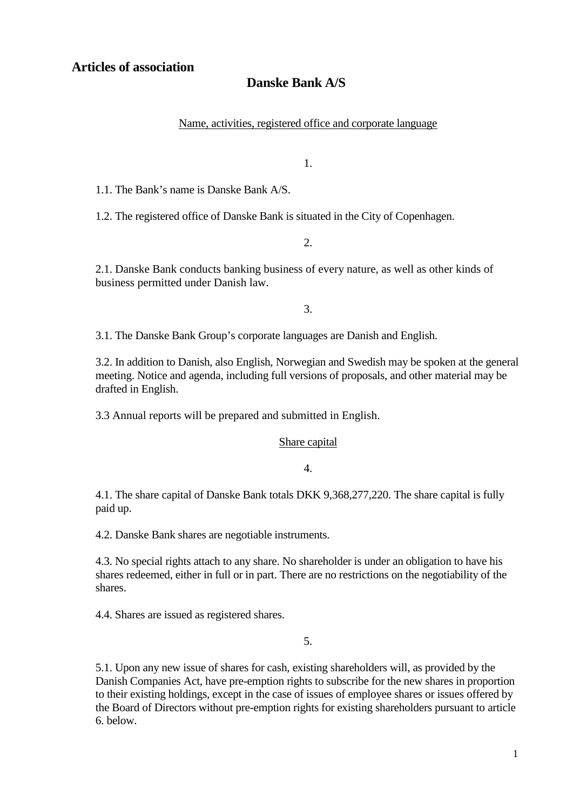# **Danske Bank A/S**

Name, activities, registered office and corporate language

1.

1.1. The Bank's name is Danske Bank A/S.

1.2. The registered office of Danske Bank is situated in the City of Copenhagen.

2.

2.1. Danske Bank conducts banking business of every nature, as well as other kinds of business permitted under Danish law.

3.

3.1. The Danske Bank Group's corporate languages are Danish and English.

3.2. In addition to Danish, also English, Norwegian and Swedish may be spoken at the general meeting. Notice and agenda, including full versions of proposals, and other material may be drafted in English.

3.3 Annual reports will be prepared and submitted in English.

# Share capital

4.

4.1. The share capital of Danske Bank totals DKK 9,368,277,220. The share capital is fully paid up.

4.2. Danske Bank shares are negotiable instruments.

4.3. No special rights attach to any share. No shareholder is under an obligation to have his shares redeemed, either in full or in part. There are no restrictions on the negotiability of the shares.

4.4. Shares are issued as registered shares.

5.

5.1. Upon any new issue of shares for cash, existing shareholders will, as provided by the Danish Companies Act, have pre-emption rights to subscribe for the new shares in proportion to their existing holdings, except in the case of issues of employee shares or issues offered by the Board of Directors without pre-emption rights for existing shareholders pursuant to article 6. below.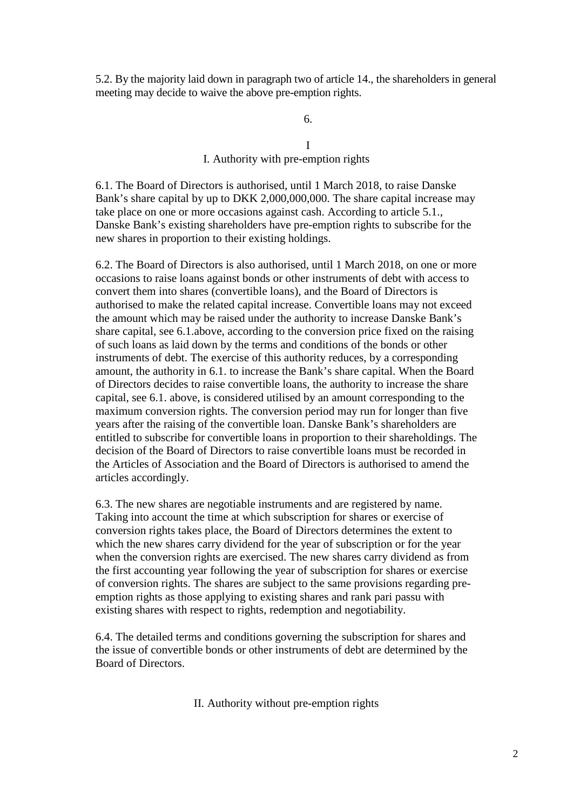5.2. By the majority laid down in paragraph two of article 14., the shareholders in general meeting may decide to waive the above pre-emption rights.

6.

I I. Authority with pre-emption rights

6.1. The Board of Directors is authorised, until 1 March 2018, to raise Danske Bank's share capital by up to DKK 2,000,000,000. The share capital increase may take place on one or more occasions against cash. According to article 5.1., Danske Bank's existing shareholders have pre-emption rights to subscribe for the new shares in proportion to their existing holdings.

6.2. The Board of Directors is also authorised, until 1 March 2018, on one or more occasions to raise loans against bonds or other instruments of debt with access to convert them into shares (convertible loans), and the Board of Directors is authorised to make the related capital increase. Convertible loans may not exceed the amount which may be raised under the authority to increase Danske Bank's share capital, see 6.1.above, according to the conversion price fixed on the raising of such loans as laid down by the terms and conditions of the bonds or other instruments of debt. The exercise of this authority reduces, by a corresponding amount, the authority in 6.1. to increase the Bank's share capital. When the Board of Directors decides to raise convertible loans, the authority to increase the share capital, see 6.1. above, is considered utilised by an amount corresponding to the maximum conversion rights. The conversion period may run for longer than five years after the raising of the convertible loan. Danske Bank's shareholders are entitled to subscribe for convertible loans in proportion to their shareholdings. The decision of the Board of Directors to raise convertible loans must be recorded in the Articles of Association and the Board of Directors is authorised to amend the articles accordingly.

6.3. The new shares are negotiable instruments and are registered by name. Taking into account the time at which subscription for shares or exercise of conversion rights takes place, the Board of Directors determines the extent to which the new shares carry dividend for the year of subscription or for the year when the conversion rights are exercised. The new shares carry dividend as from the first accounting year following the year of subscription for shares or exercise of conversion rights. The shares are subject to the same provisions regarding preemption rights as those applying to existing shares and rank pari passu with existing shares with respect to rights, redemption and negotiability.

6.4. The detailed terms and conditions governing the subscription for shares and the issue of convertible bonds or other instruments of debt are determined by the Board of Directors.

II. Authority without pre-emption rights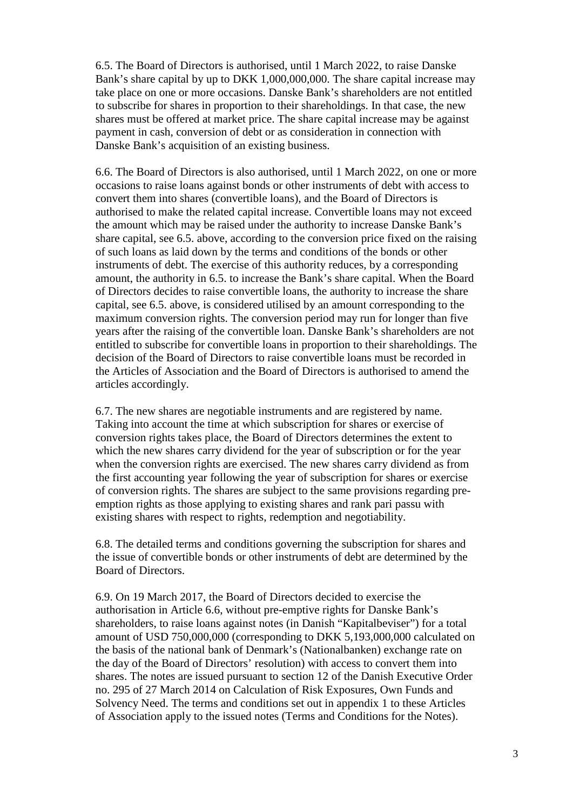6.5. The Board of Directors is authorised, until 1 March 2022, to raise Danske Bank's share capital by up to DKK 1,000,000,000. The share capital increase may take place on one or more occasions. Danske Bank's shareholders are not entitled to subscribe for shares in proportion to their shareholdings. In that case, the new shares must be offered at market price. The share capital increase may be against payment in cash, conversion of debt or as consideration in connection with Danske Bank's acquisition of an existing business.

6.6. The Board of Directors is also authorised, until 1 March 2022, on one or more occasions to raise loans against bonds or other instruments of debt with access to convert them into shares (convertible loans), and the Board of Directors is authorised to make the related capital increase. Convertible loans may not exceed the amount which may be raised under the authority to increase Danske Bank's share capital, see 6.5. above, according to the conversion price fixed on the raising of such loans as laid down by the terms and conditions of the bonds or other instruments of debt. The exercise of this authority reduces, by a corresponding amount, the authority in 6.5. to increase the Bank's share capital. When the Board of Directors decides to raise convertible loans, the authority to increase the share capital, see 6.5. above, is considered utilised by an amount corresponding to the maximum conversion rights. The conversion period may run for longer than five years after the raising of the convertible loan. Danske Bank's shareholders are not entitled to subscribe for convertible loans in proportion to their shareholdings. The decision of the Board of Directors to raise convertible loans must be recorded in the Articles of Association and the Board of Directors is authorised to amend the articles accordingly.

6.7. The new shares are negotiable instruments and are registered by name. Taking into account the time at which subscription for shares or exercise of conversion rights takes place, the Board of Directors determines the extent to which the new shares carry dividend for the year of subscription or for the year when the conversion rights are exercised. The new shares carry dividend as from the first accounting year following the year of subscription for shares or exercise of conversion rights. The shares are subject to the same provisions regarding preemption rights as those applying to existing shares and rank pari passu with existing shares with respect to rights, redemption and negotiability.

6.8. The detailed terms and conditions governing the subscription for shares and the issue of convertible bonds or other instruments of debt are determined by the Board of Directors.

6.9. On 19 March 2017, the Board of Directors decided to exercise the authorisation in Article 6.6, without pre-emptive rights for Danske Bank's shareholders, to raise loans against notes (in Danish "Kapitalbeviser") for a total amount of USD 750,000,000 (corresponding to DKK 5,193,000,000 calculated on the basis of the national bank of Denmark's (Nationalbanken) exchange rate on the day of the Board of Directors' resolution) with access to convert them into shares. The notes are issued pursuant to section 12 of the Danish Executive Order no. 295 of 27 March 2014 on Calculation of Risk Exposures, Own Funds and Solvency Need. The terms and conditions set out in appendix 1 to these Articles of Association apply to the issued notes (Terms and Conditions for the Notes).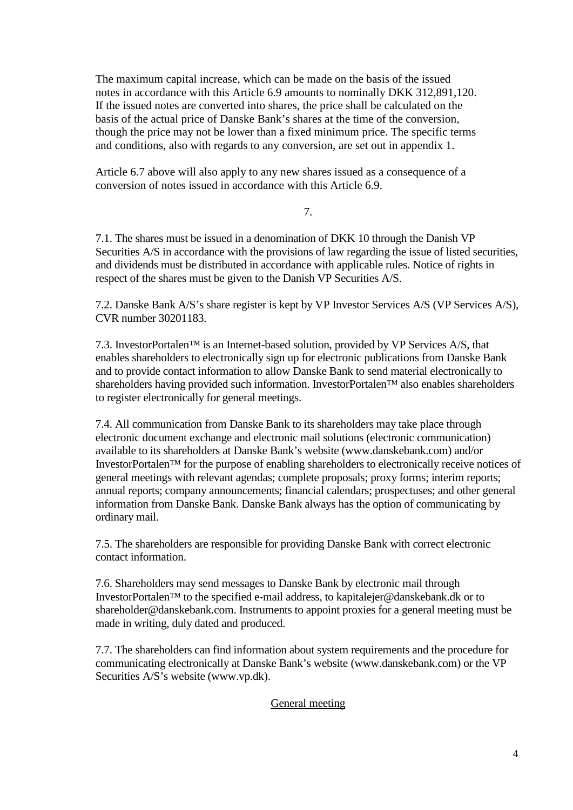The maximum capital increase, which can be made on the basis of the issued notes in accordance with this Article 6.9 amounts to nominally DKK 312,891,120. If the issued notes are converted into shares, the price shall be calculated on the basis of the actual price of Danske Bank's shares at the time of the conversion, though the price may not be lower than a fixed minimum price. The specific terms and conditions, also with regards to any conversion, are set out in appendix 1.

Article 6.7 above will also apply to any new shares issued as a consequence of a conversion of notes issued in accordance with this Article 6.9.

7.

7.1. The shares must be issued in a denomination of DKK 10 through the Danish VP Securities A/S in accordance with the provisions of law regarding the issue of listed securities, and dividends must be distributed in accordance with applicable rules. Notice of rights in respect of the shares must be given to the Danish VP Securities A/S.

7.2. Danske Bank A/S's share register is kept by VP Investor Services A/S (VP Services A/S), CVR number 30201183.

7.3. InvestorPortalen™ is an Internet-based solution, provided by VP Services A/S, that enables shareholders to electronically sign up for electronic publications from Danske Bank and to provide contact information to allow Danske Bank to send material electronically to shareholders having provided such information. InvestorPortalen<sup>™</sup> also enables shareholders to register electronically for general meetings.

7.4. All communication from Danske Bank to its shareholders may take place through electronic document exchange and electronic mail solutions (electronic communication) available to its shareholders at Danske Bank's website (www.danskebank.com) and/or InvestorPortalen™ for the purpose of enabling shareholders to electronically receive notices of general meetings with relevant agendas; complete proposals; proxy forms; interim reports; annual reports; company announcements; financial calendars; prospectuses; and other general information from Danske Bank. Danske Bank always has the option of communicating by ordinary mail.

7.5. The shareholders are responsible for providing Danske Bank with correct electronic contact information.

7.6. Shareholders may send messages to Danske Bank by electronic mail through InvestorPortalen™ to the specified e-mail address, to kapitalejer@danskebank.dk or to shareholder@danskebank.com. Instruments to appoint proxies for a general meeting must be made in writing, duly dated and produced.

7.7. The shareholders can find information about system requirements and the procedure for communicating electronically at Danske Bank's website (www.danskebank.com) or the VP Securities A/S's website [\(www.vp.dk\)](http://www.vp.dk/).

General meeting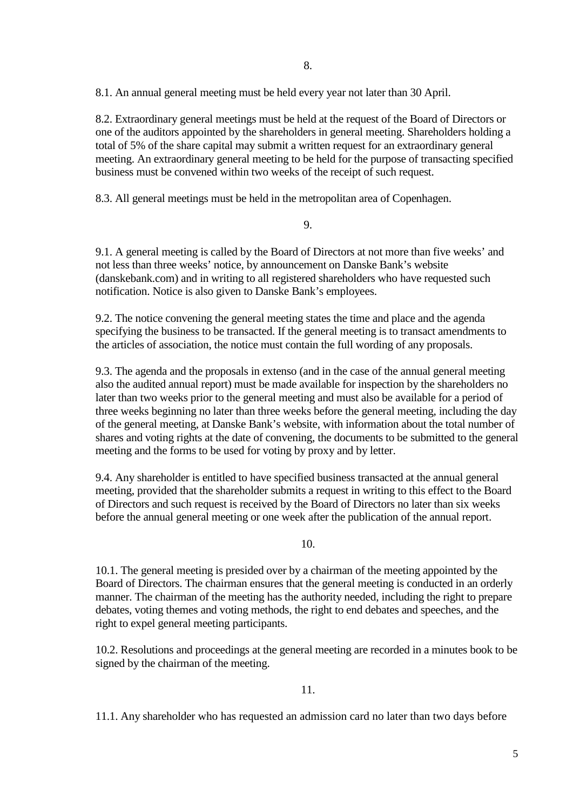8.1. An annual general meeting must be held every year not later than 30 April.

8.2. Extraordinary general meetings must be held at the request of the Board of Directors or one of the auditors appointed by the shareholders in general meeting. Shareholders holding a total of 5% of the share capital may submit a written request for an extraordinary general meeting. An extraordinary general meeting to be held for the purpose of transacting specified business must be convened within two weeks of the receipt of such request.

8.3. All general meetings must be held in the metropolitan area of Copenhagen.

9.

9.1. A general meeting is called by the Board of Directors at not more than five weeks' and not less than three weeks' notice, by announcement on Danske Bank's website [\(danskebank.com\)](http://www.danskebank.com/) and in writing to all registered shareholders who have requested such notification. Notice is also given to Danske Bank's employees.

9.2. The notice convening the general meeting states the time and place and the agenda specifying the business to be transacted. If the general meeting is to transact amendments to the articles of association, the notice must contain the full wording of any proposals.

9.3. The agenda and the proposals in extenso (and in the case of the annual general meeting also the audited annual report) must be made available for inspection by the shareholders no later than two weeks prior to the general meeting and must also be available for a period of three weeks beginning no later than three weeks before the general meeting, including the day of the general meeting, at Danske Bank's website, with information about the total number of shares and voting rights at the date of convening, the documents to be submitted to the general meeting and the forms to be used for voting by proxy and by letter.

9.4. Any shareholder is entitled to have specified business transacted at the annual general meeting, provided that the shareholder submits a request in writing to this effect to the Board of Directors and such request is received by the Board of Directors no later than six weeks before the annual general meeting or one week after the publication of the annual report.

10.

10.1. The general meeting is presided over by a chairman of the meeting appointed by the Board of Directors. The chairman ensures that the general meeting is conducted in an orderly manner. The chairman of the meeting has the authority needed, including the right to prepare debates, voting themes and voting methods, the right to end debates and speeches, and the right to expel general meeting participants.

10.2. Resolutions and proceedings at the general meeting are recorded in a minutes book to be signed by the chairman of the meeting.

11.

11.1. Any shareholder who has requested an admission card no later than two days before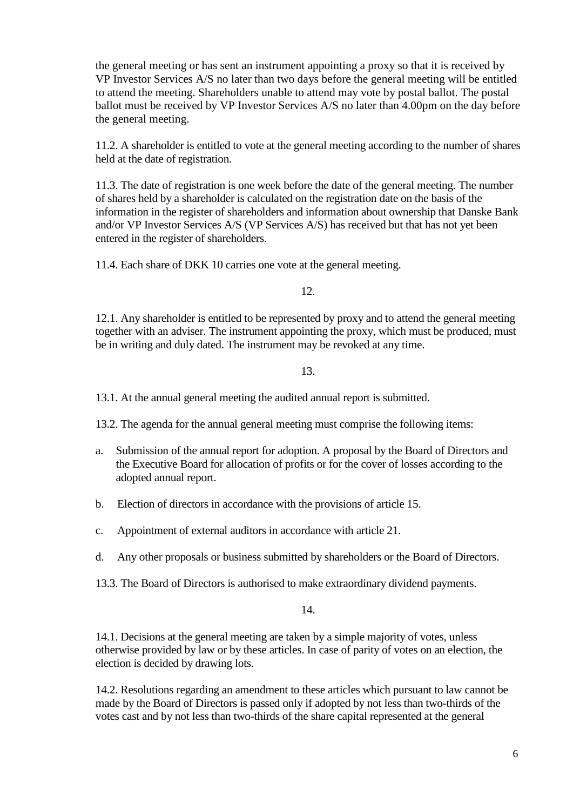the general meeting or has sent an instrument appointing a proxy so that it is received by VP Investor Services A/S no later than two days before the general meeting will be entitled to attend the meeting. Shareholders unable to attend may vote by postal ballot. The postal ballot must be received by VP Investor Services A/S no later than 4.00pm on the day before the general meeting.

11.2. A shareholder is entitled to vote at the general meeting according to the number of shares held at the date of registration.

11.3. The date of registration is one week before the date of the general meeting. The number of shares held by a shareholder is calculated on the registration date on the basis of the information in the register of shareholders and information about ownership that Danske Bank and/or VP Investor Services A/S (VP Services A/S) has received but that has not yet been entered in the register of shareholders.

11.4. Each share of DKK 10 carries one vote at the general meeting.

12.

12.1. Any shareholder is entitled to be represented by proxy and to attend the general meeting together with an adviser. The instrument appointing the proxy, which must be produced, must be in writing and duly dated. The instrument may be revoked at any time.

# 13.

13.1. At the annual general meeting the audited annual report is submitted.

13.2. The agenda for the annual general meeting must comprise the following items:

- a. Submission of the annual report for adoption. A proposal by the Board of Directors and the Executive Board for allocation of profits or for the cover of losses according to the adopted annual report.
- b. Election of directors in accordance with the provisions of article 15.
- c. Appointment of external auditors in accordance with article 21.
- d. Any other proposals or business submitted by shareholders or the Board of Directors.

13.3. The Board of Directors is authorised to make extraordinary dividend payments.

14.

14.1. Decisions at the general meeting are taken by a simple majority of votes, unless otherwise provided by law or by these articles. In case of parity of votes on an election, the election is decided by drawing lots.

14.2. Resolutions regarding an amendment to these articles which pursuant to law cannot be made by the Board of Directors is passed only if adopted by not less than two-thirds of the votes cast and by not less than two-thirds of the share capital represented at the general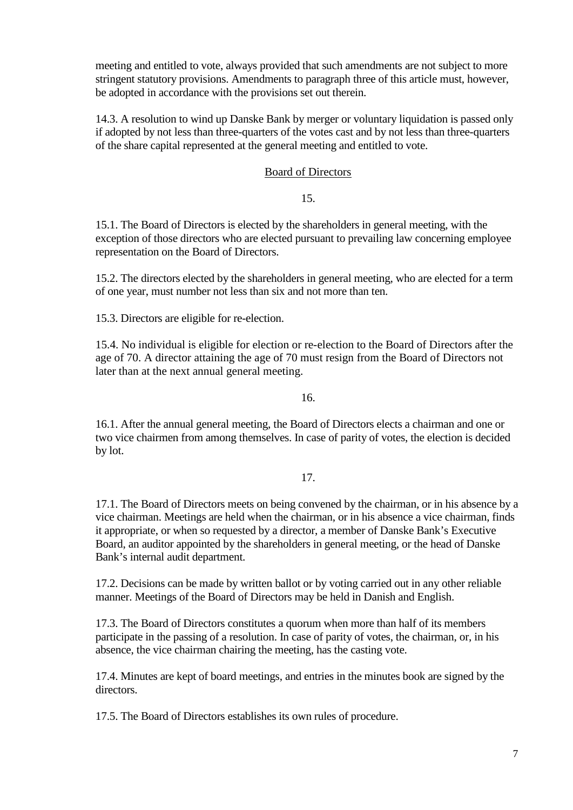meeting and entitled to vote, always provided that such amendments are not subject to more stringent statutory provisions. Amendments to paragraph three of this article must, however, be adopted in accordance with the provisions set out therein.

14.3. A resolution to wind up Danske Bank by merger or voluntary liquidation is passed only if adopted by not less than three-quarters of the votes cast and by not less than three-quarters of the share capital represented at the general meeting and entitled to vote.

### Board of Directors

15.

15.1. The Board of Directors is elected by the shareholders in general meeting, with the exception of those directors who are elected pursuant to prevailing law concerning employee representation on the Board of Directors.

15.2. The directors elected by the shareholders in general meeting, who are elected for a term of one year, must number not less than six and not more than ten.

15.3. Directors are eligible for re-election.

15.4. No individual is eligible for election or re-election to the Board of Directors after the age of 70. A director attaining the age of 70 must resign from the Board of Directors not later than at the next annual general meeting.

16.

16.1. After the annual general meeting, the Board of Directors elects a chairman and one or two vice chairmen from among themselves. In case of parity of votes, the election is decided by lot.

17.

17.1. The Board of Directors meets on being convened by the chairman, or in his absence by a vice chairman. Meetings are held when the chairman, or in his absence a vice chairman, finds it appropriate, or when so requested by a director, a member of Danske Bank's Executive Board, an auditor appointed by the shareholders in general meeting, or the head of Danske Bank's internal audit department.

17.2. Decisions can be made by written ballot or by voting carried out in any other reliable manner. Meetings of the Board of Directors may be held in Danish and English.

17.3. The Board of Directors constitutes a quorum when more than half of its members participate in the passing of a resolution. In case of parity of votes, the chairman, or, in his absence, the vice chairman chairing the meeting, has the casting vote.

17.4. Minutes are kept of board meetings, and entries in the minutes book are signed by the directors.

17.5. The Board of Directors establishes its own rules of procedure.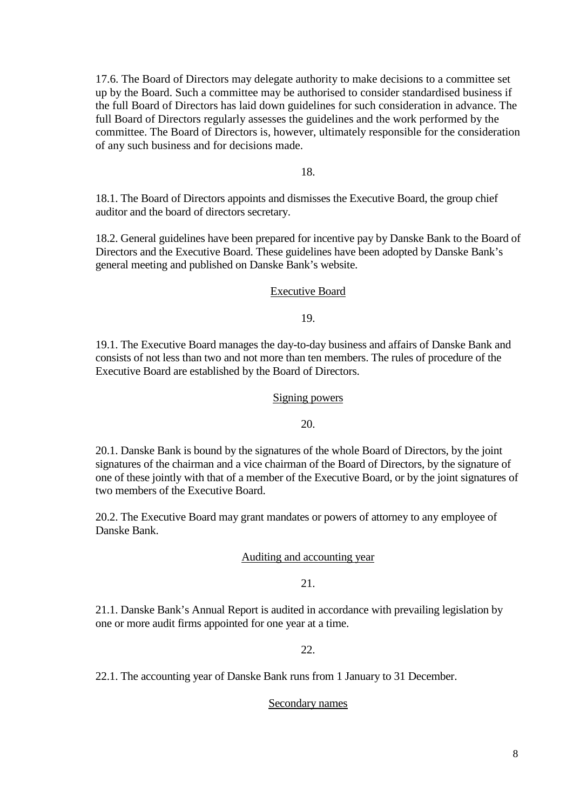17.6. The Board of Directors may delegate authority to make decisions to a committee set up by the Board. Such a committee may be authorised to consider standardised business if the full Board of Directors has laid down guidelines for such consideration in advance. The full Board of Directors regularly assesses the guidelines and the work performed by the committee. The Board of Directors is, however, ultimately responsible for the consideration of any such business and for decisions made.

18.

18.1. The Board of Directors appoints and dismisses the Executive Board, the group chief auditor and the board of directors secretary.

18.2. General guidelines have been prepared for incentive pay by Danske Bank to the Board of Directors and the Executive Board. These guidelines have been adopted by Danske Bank's general meeting and published on Danske Bank's website.

# Executive Board

19.

19.1. The Executive Board manages the day-to-day business and affairs of Danske Bank and consists of not less than two and not more than ten members. The rules of procedure of the Executive Board are established by the Board of Directors.

# Signing powers

20.

20.1. Danske Bank is bound by the signatures of the whole Board of Directors, by the joint signatures of the chairman and a vice chairman of the Board of Directors, by the signature of one of these jointly with that of a member of the Executive Board, or by the joint signatures of two members of the Executive Board.

20.2. The Executive Board may grant mandates or powers of attorney to any employee of Danske Bank.

# Auditing and accounting year

# 21.

21.1. Danske Bank's Annual Report is audited in accordance with prevailing legislation by one or more audit firms appointed for one year at a time.

22.

22.1. The accounting year of Danske Bank runs from 1 January to 31 December.

# Secondary names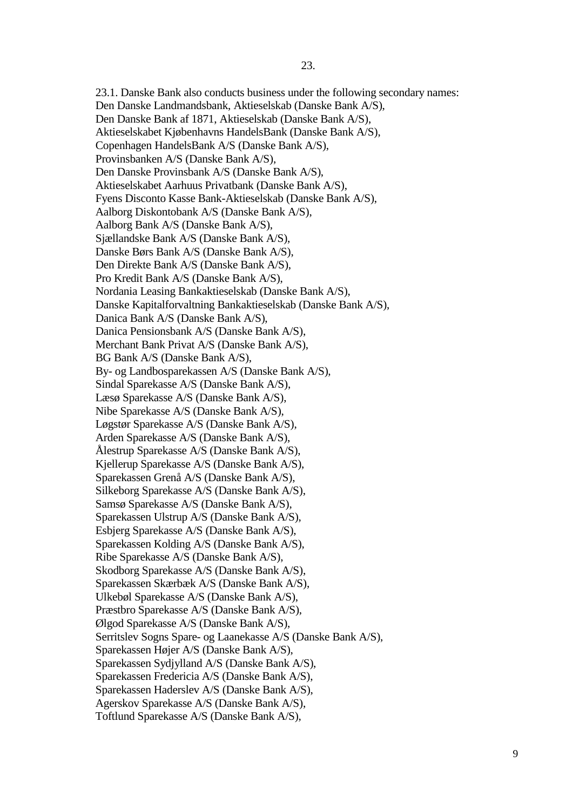23.1. Danske Bank also conducts business under the following secondary names: Den Danske Landmandsbank, Aktieselskab (Danske Bank A/S), Den Danske Bank af 1871, Aktieselskab (Danske Bank A/S), Aktieselskabet Kjøbenhavns HandelsBank (Danske Bank A/S), Copenhagen HandelsBank A/S (Danske Bank A/S), Provinsbanken A/S (Danske Bank A/S), Den Danske Provinsbank A/S (Danske Bank A/S), Aktieselskabet Aarhuus Privatbank (Danske Bank A/S), Fyens Disconto Kasse Bank-Aktieselskab (Danske Bank A/S), Aalborg Diskontobank A/S (Danske Bank A/S), Aalborg Bank A/S (Danske Bank A/S), Sjællandske Bank A/S (Danske Bank A/S), Danske Børs Bank A/S (Danske Bank A/S), Den Direkte Bank A/S (Danske Bank A/S), Pro Kredit Bank A/S (Danske Bank A/S), Nordania Leasing Bankaktieselskab (Danske Bank A/S), Danske Kapitalforvaltning Bankaktieselskab (Danske Bank A/S), Danica Bank A/S (Danske Bank A/S), Danica Pensionsbank A/S (Danske Bank A/S), Merchant Bank Privat A/S (Danske Bank A/S), BG Bank A/S (Danske Bank A/S), By- og Landbosparekassen A/S (Danske Bank A/S), Sindal Sparekasse A/S (Danske Bank A/S), Læsø Sparekasse A/S (Danske Bank A/S), Nibe Sparekasse A/S (Danske Bank A/S), Løgstør Sparekasse A/S (Danske Bank A/S), Arden Sparekasse A/S (Danske Bank A/S), Ålestrup Sparekasse A/S (Danske Bank A/S), Kjellerup Sparekasse A/S (Danske Bank A/S), Sparekassen Grenå A/S (Danske Bank A/S), Silkeborg Sparekasse A/S (Danske Bank A/S), Samsø Sparekasse A/S (Danske Bank A/S), Sparekassen Ulstrup A/S (Danske Bank A/S), Esbjerg Sparekasse A/S (Danske Bank A/S), Sparekassen Kolding A/S (Danske Bank A/S), Ribe Sparekasse A/S (Danske Bank A/S), Skodborg Sparekasse A/S (Danske Bank A/S), Sparekassen Skærbæk A/S (Danske Bank A/S), Ulkebøl Sparekasse A/S (Danske Bank A/S), Præstbro Sparekasse A/S (Danske Bank A/S), Ølgod Sparekasse A/S (Danske Bank A/S), Serritslev Sogns Spare- og Laanekasse A/S (Danske Bank A/S), Sparekassen Højer A/S (Danske Bank A/S), Sparekassen Sydjylland A/S (Danske Bank A/S), Sparekassen Fredericia A/S (Danske Bank A/S), Sparekassen Haderslev A/S (Danske Bank A/S), Agerskov Sparekasse A/S (Danske Bank A/S), Toftlund Sparekasse A/S (Danske Bank A/S),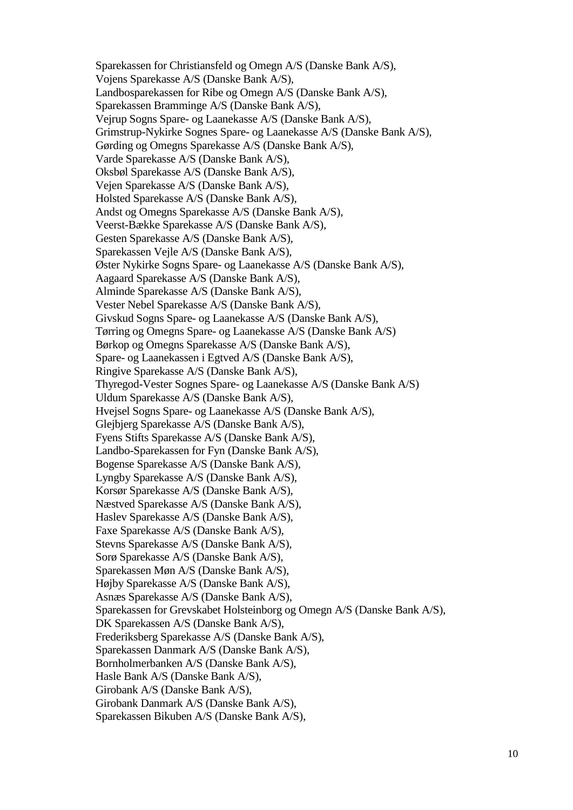Sparekassen for Christiansfeld og Omegn A/S (Danske Bank A/S), Vojens Sparekasse A/S (Danske Bank A/S), Landbosparekassen for Ribe og Omegn A/S (Danske Bank A/S), Sparekassen Bramminge A/S (Danske Bank A/S), Vejrup Sogns Spare- og Laanekasse A/S (Danske Bank A/S), Grimstrup-Nykirke Sognes Spare- og Laanekasse A/S (Danske Bank A/S), Gørding og Omegns Sparekasse A/S (Danske Bank A/S), Varde Sparekasse A/S (Danske Bank A/S), Oksbøl Sparekasse A/S (Danske Bank A/S), Vejen Sparekasse A/S (Danske Bank A/S), Holsted Sparekasse A/S (Danske Bank A/S), Andst og Omegns Sparekasse A/S (Danske Bank A/S), Veerst-Bække Sparekasse A/S (Danske Bank A/S), Gesten Sparekasse A/S (Danske Bank A/S), Sparekassen Vejle A/S (Danske Bank A/S), Øster Nykirke Sogns Spare- og Laanekasse A/S (Danske Bank A/S), Aagaard Sparekasse A/S (Danske Bank A/S), Alminde Sparekasse A/S (Danske Bank A/S), Vester Nebel Sparekasse A/S (Danske Bank A/S), Givskud Sogns Spare- og Laanekasse A/S (Danske Bank A/S), Tørring og Omegns Spare- og Laanekasse A/S (Danske Bank A/S) Børkop og Omegns Sparekasse A/S (Danske Bank A/S), Spare- og Laanekassen i Egtved A/S (Danske Bank A/S), Ringive Sparekasse A/S (Danske Bank A/S), Thyregod-Vester Sognes Spare- og Laanekasse A/S (Danske Bank A/S) Uldum Sparekasse A/S (Danske Bank A/S), Hvejsel Sogns Spare- og Laanekasse A/S (Danske Bank A/S), Glejbjerg Sparekasse A/S (Danske Bank A/S), Fyens Stifts Sparekasse A/S (Danske Bank A/S), Landbo-Sparekassen for Fyn (Danske Bank A/S), Bogense Sparekasse A/S (Danske Bank A/S), Lyngby Sparekasse A/S (Danske Bank A/S), Korsør Sparekasse A/S (Danske Bank A/S), Næstved Sparekasse A/S (Danske Bank A/S), Haslev Sparekasse A/S (Danske Bank A/S), Faxe Sparekasse A/S (Danske Bank A/S), Stevns Sparekasse A/S (Danske Bank A/S), Sorø Sparekasse A/S (Danske Bank A/S), Sparekassen Møn A/S (Danske Bank A/S), Højby Sparekasse A/S (Danske Bank A/S), Asnæs Sparekasse A/S (Danske Bank A/S), Sparekassen for Grevskabet Holsteinborg og Omegn A/S (Danske Bank A/S), DK Sparekassen A/S (Danske Bank A/S), Frederiksberg Sparekasse A/S (Danske Bank A/S), Sparekassen Danmark A/S (Danske Bank A/S), Bornholmerbanken A/S (Danske Bank A/S), Hasle Bank A/S (Danske Bank A/S), Girobank A/S (Danske Bank A/S), Girobank Danmark A/S (Danske Bank A/S), Sparekassen Bikuben A/S (Danske Bank A/S),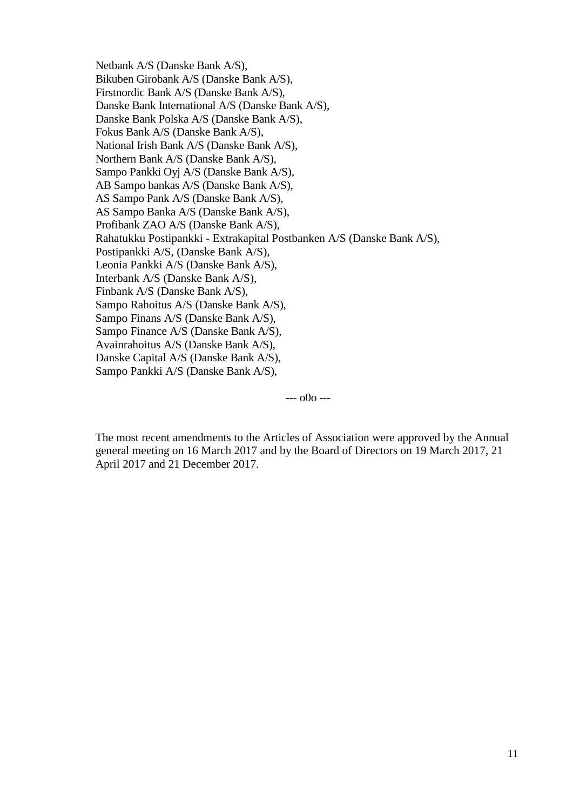Netbank A/S (Danske Bank A/S), Bikuben Girobank A/S (Danske Bank A/S), Firstnordic Bank A/S (Danske Bank A/S), Danske Bank International A/S (Danske Bank A/S), Danske Bank Polska A/S (Danske Bank A/S), Fokus Bank A/S (Danske Bank A/S), National Irish Bank A/S (Danske Bank A/S), Northern Bank A/S (Danske Bank A/S), Sampo Pankki Oyj A/S (Danske Bank A/S), AB Sampo bankas A/S (Danske Bank A/S), AS Sampo Pank A/S (Danske Bank A/S), AS Sampo Banka A/S (Danske Bank A/S), Profibank ZAO A/S (Danske Bank A/S), Rahatukku Postipankki - Extrakapital Postbanken A/S (Danske Bank A/S), Postipankki A/S, (Danske Bank A/S), Leonia Pankki A/S (Danske Bank A/S), Interbank A/S (Danske Bank A/S), Finbank A/S (Danske Bank A/S), Sampo Rahoitus A/S (Danske Bank A/S), Sampo Finans A/S (Danske Bank A/S), Sampo Finance A/S (Danske Bank A/S), Avainrahoitus A/S (Danske Bank A/S), Danske Capital A/S (Danske Bank A/S), Sampo Pankki A/S (Danske Bank A/S),

--- o0o ---

The most recent amendments to the Articles of Association were approved by the Annual general meeting on 16 March 2017 and by the Board of Directors on 19 March 2017, 21 April 2017 and 21 December 2017.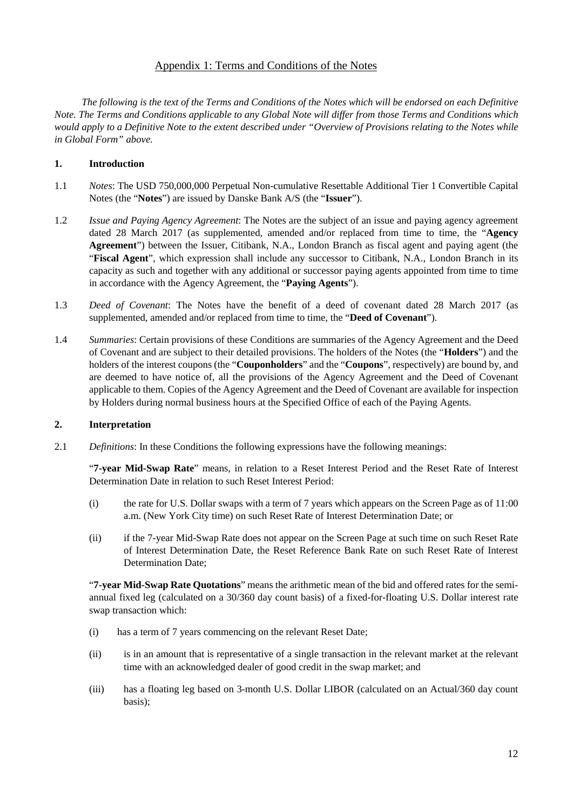### Appendix 1: Terms and Conditions of the Notes

*The following is the text of the Terms and Conditions of the Notes which will be endorsed on each Definitive Note. The Terms and Conditions applicable to any Global Note will differ from those Terms and Conditions which would apply to a Definitive Note to the extent described under "Overview of Provisions relating to the Notes while in Global Form" above.*

#### **1. Introduction**

- 1.1 *Notes*: The USD 750,000,000 Perpetual Non-cumulative Resettable Additional Tier 1 Convertible Capital Notes (the "**Notes**") are issued by Danske Bank A/S (the "**Issuer**").
- 1.2 *Issue and Paying Agency Agreement*: The Notes are the subject of an issue and paying agency agreement dated 28 March 2017 (as supplemented, amended and/or replaced from time to time, the "**Agency Agreement**") between the Issuer, Citibank, N.A., London Branch as fiscal agent and paying agent (the "**Fiscal Agent**", which expression shall include any successor to Citibank, N.A., London Branch in its capacity as such and together with any additional or successor paying agents appointed from time to time in accordance with the Agency Agreement, the "**Paying Agents**").
- 1.3 *Deed of Covenant*: The Notes have the benefit of a deed of covenant dated 28 March 2017 (as supplemented, amended and/or replaced from time to time, the "**Deed of Covenant**").
- 1.4 *Summaries*: Certain provisions of these Conditions are summaries of the Agency Agreement and the Deed of Covenant and are subject to their detailed provisions. The holders of the Notes (the "**Holders**") and the holders of the interest coupons (the "**Couponholders**" and the "**Coupons**", respectively) are bound by, and are deemed to have notice of, all the provisions of the Agency Agreement and the Deed of Covenant applicable to them. Copies of the Agency Agreement and the Deed of Covenant are available for inspection by Holders during normal business hours at the Specified Office of each of the Paying Agents.

### **2. Interpretation**

2.1 *Definitions*: In these Conditions the following expressions have the following meanings:

"**7-year Mid-Swap Rate**" means, in relation to a Reset Interest Period and the Reset Rate of Interest Determination Date in relation to such Reset Interest Period:

- (i) the rate for U.S. Dollar swaps with a term of 7 years which appears on the Screen Page as of 11:00 a.m. (New York City time) on such Reset Rate of Interest Determination Date; or
- (ii) if the 7-year Mid-Swap Rate does not appear on the Screen Page at such time on such Reset Rate of Interest Determination Date, the Reset Reference Bank Rate on such Reset Rate of Interest Determination Date;

"**7-year Mid-Swap Rate Quotations**" means the arithmetic mean of the bid and offered rates for the semiannual fixed leg (calculated on a 30/360 day count basis) of a fixed-for-floating U.S. Dollar interest rate swap transaction which:

- (i) has a term of 7 years commencing on the relevant Reset Date;
- (ii) is in an amount that is representative of a single transaction in the relevant market at the relevant time with an acknowledged dealer of good credit in the swap market; and
- (iii) has a floating leg based on 3-month U.S. Dollar LIBOR (calculated on an Actual/360 day count basis);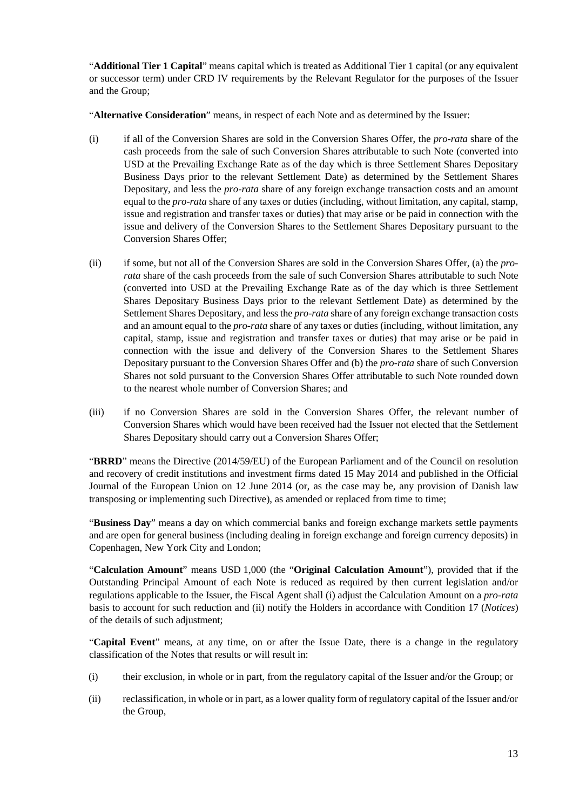"**Additional Tier 1 Capital**" means capital which is treated as Additional Tier 1 capital (or any equivalent or successor term) under CRD IV requirements by the Relevant Regulator for the purposes of the Issuer and the Group;

"**Alternative Consideration**" means, in respect of each Note and as determined by the Issuer:

- (i) if all of the Conversion Shares are sold in the Conversion Shares Offer, the *pro-rata* share of the cash proceeds from the sale of such Conversion Shares attributable to such Note (converted into USD at the Prevailing Exchange Rate as of the day which is three Settlement Shares Depositary Business Days prior to the relevant Settlement Date) as determined by the Settlement Shares Depositary, and less the *pro-rata* share of any foreign exchange transaction costs and an amount equal to the *pro-rata* share of any taxes or duties (including, without limitation, any capital, stamp, issue and registration and transfer taxes or duties) that may arise or be paid in connection with the issue and delivery of the Conversion Shares to the Settlement Shares Depositary pursuant to the Conversion Shares Offer;
- (ii) if some, but not all of the Conversion Shares are sold in the Conversion Shares Offer, (a) the *prorata* share of the cash proceeds from the sale of such Conversion Shares attributable to such Note (converted into USD at the Prevailing Exchange Rate as of the day which is three Settlement Shares Depositary Business Days prior to the relevant Settlement Date) as determined by the Settlement Shares Depositary, and less the *pro-rata* share of any foreign exchange transaction costs and an amount equal to the *pro-rata* share of any taxes or duties (including, without limitation, any capital, stamp, issue and registration and transfer taxes or duties) that may arise or be paid in connection with the issue and delivery of the Conversion Shares to the Settlement Shares Depositary pursuant to the Conversion Shares Offer and (b) the *pro-rata* share of such Conversion Shares not sold pursuant to the Conversion Shares Offer attributable to such Note rounded down to the nearest whole number of Conversion Shares; and
- (iii) if no Conversion Shares are sold in the Conversion Shares Offer, the relevant number of Conversion Shares which would have been received had the Issuer not elected that the Settlement Shares Depositary should carry out a Conversion Shares Offer;

"**BRRD**" means the Directive (2014/59/EU) of the European Parliament and of the Council on resolution and recovery of credit institutions and investment firms dated 15 May 2014 and published in the Official Journal of the European Union on 12 June 2014 (or, as the case may be, any provision of Danish law transposing or implementing such Directive), as amended or replaced from time to time;

"**Business Day**" means a day on which commercial banks and foreign exchange markets settle payments and are open for general business (including dealing in foreign exchange and foreign currency deposits) in Copenhagen, New York City and London;

"**Calculation Amount**" means USD 1,000 (the "**Original Calculation Amount**"), provided that if the Outstanding Principal Amount of each Note is reduced as required by then current legislation and/or regulations applicable to the Issuer, the Fiscal Agent shall (i) adjust the Calculation Amount on a *pro-rata* basis to account for such reduction and (ii) notify the Holders in accordance with Condition [17](#page-41-0) (*Notices*) of the details of such adjustment;

"**Capital Event**" means, at any time, on or after the Issue Date, there is a change in the regulatory classification of the Notes that results or will result in:

- (i) their exclusion, in whole or in part, from the regulatory capital of the Issuer and/or the Group; or
- (ii) reclassification, in whole or in part, as a lower quality form of regulatory capital of the Issuer and/or the Group,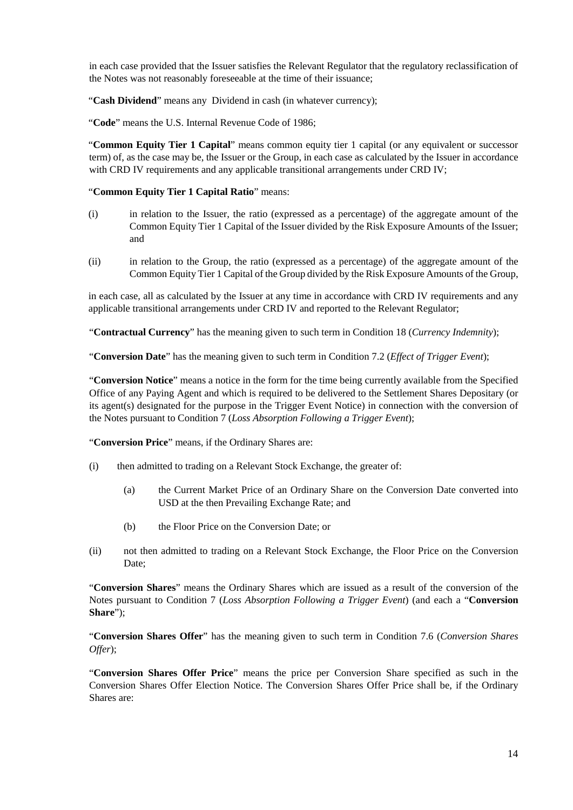in each case provided that the Issuer satisfies the Relevant Regulator that the regulatory reclassification of the Notes was not reasonably foreseeable at the time of their issuance;

"Cash Dividend" means any Dividend in cash (in whatever currency);

"**Code**" means the U.S. Internal Revenue Code of 1986;

"**Common Equity Tier 1 Capital**" means common equity tier 1 capital (or any equivalent or successor term) of, as the case may be, the Issuer or the Group, in each case as calculated by the Issuer in accordance with CRD IV requirements and any applicable transitional arrangements under CRD IV;

#### "**Common Equity Tier 1 Capital Ratio**" means:

- (i) in relation to the Issuer, the ratio (expressed as a percentage) of the aggregate amount of the Common Equity Tier 1 Capital of the Issuer divided by the Risk Exposure Amounts of the Issuer; and
- (ii) in relation to the Group, the ratio (expressed as a percentage) of the aggregate amount of the Common Equity Tier 1 Capital of the Group divided by the Risk Exposure Amounts of the Group,

in each case, all as calculated by the Issuer at any time in accordance with CRD IV requirements and any applicable transitional arrangements under CRD IV and reported to the Relevant Regulator;

"**Contractual Currency**" has the meaning given to such term in Condition [18](#page-41-1) (*Currency Indemnity*);

"**Conversion Date**" has the meaning given to such term in Condition 7.2 (*Effect of Trigger Event*);

"**Conversion Notice**" means a notice in the form for the time being currently available from the Specified Office of any Paying Agent and which is required to be delivered to the Settlement Shares Depositary (or its agent(s) designated for the purpose in the Trigger Event Notice) in connection with the conversion of the Notes pursuant to Condition 7 (*Loss Absorption Following a Trigger Event*);

"**Conversion Price**" means, if the Ordinary Shares are:

- (i) then admitted to trading on a Relevant Stock Exchange, the greater of:
	- (a) the Current Market Price of an Ordinary Share on the Conversion Date converted into USD at the then Prevailing Exchange Rate; and
	- (b) the Floor Price on the Conversion Date; or
- (ii) not then admitted to trading on a Relevant Stock Exchange, the Floor Price on the Conversion Date;

"**Conversion Shares**" means the Ordinary Shares which are issued as a result of the conversion of the Notes pursuant to Condition 7 (*Loss Absorption Following a Trigger Event*) (and each a "**Conversion Share**");

"**Conversion Shares Offer**" has the meaning given to such term in Condition 7.6 (*Conversion Shares Offer*);

"**Conversion Shares Offer Price**" means the price per Conversion Share specified as such in the Conversion Shares Offer Election Notice. The Conversion Shares Offer Price shall be, if the Ordinary Shares are: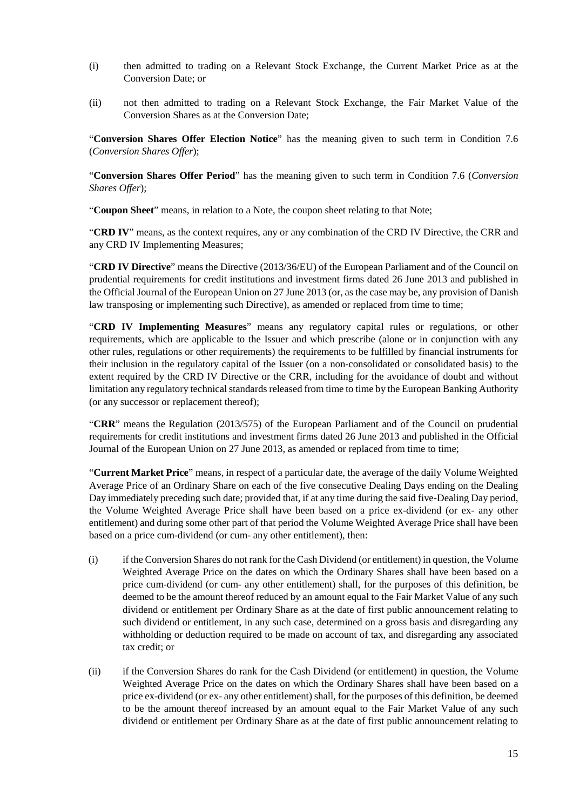- (i) then admitted to trading on a Relevant Stock Exchange, the Current Market Price as at the Conversion Date; or
- (ii) not then admitted to trading on a Relevant Stock Exchange, the Fair Market Value of the Conversion Shares as at the Conversion Date;

"**Conversion Shares Offer Election Notice**" has the meaning given to such term in Condition 7.6 (*Conversion Shares Offer*);

"**Conversion Shares Offer Period**" has the meaning given to such term in Condition 7.6 (*Conversion Shares Offer*);

"**Coupon Sheet**" means, in relation to a Note, the coupon sheet relating to that Note;

"**CRD IV**" means, as the context requires, any or any combination of the CRD IV Directive, the CRR and any CRD IV Implementing Measures;

"**CRD IV Directive**" means the Directive (2013/36/EU) of the European Parliament and of the Council on prudential requirements for credit institutions and investment firms dated 26 June 2013 and published in the Official Journal of the European Union on 27 June 2013 (or, as the case may be, any provision of Danish law transposing or implementing such Directive), as amended or replaced from time to time;

"**CRD IV Implementing Measures**" means any regulatory capital rules or regulations, or other requirements, which are applicable to the Issuer and which prescribe (alone or in conjunction with any other rules, regulations or other requirements) the requirements to be fulfilled by financial instruments for their inclusion in the regulatory capital of the Issuer (on a non-consolidated or consolidated basis) to the extent required by the CRD IV Directive or the CRR, including for the avoidance of doubt and without limitation any regulatory technical standards released from time to time by the European Banking Authority (or any successor or replacement thereof);

"**CRR**" means the Regulation (2013/575) of the European Parliament and of the Council on prudential requirements for credit institutions and investment firms dated 26 June 2013 and published in the Official Journal of the European Union on 27 June 2013, as amended or replaced from time to time;

"**Current Market Price**" means, in respect of a particular date, the average of the daily Volume Weighted Average Price of an Ordinary Share on each of the five consecutive Dealing Days ending on the Dealing Day immediately preceding such date; provided that, if at any time during the said five-Dealing Day period, the Volume Weighted Average Price shall have been based on a price ex-dividend (or ex- any other entitlement) and during some other part of that period the Volume Weighted Average Price shall have been based on a price cum-dividend (or cum- any other entitlement), then:

- (i) if the Conversion Shares do not rank for the Cash Dividend (or entitlement) in question, the Volume Weighted Average Price on the dates on which the Ordinary Shares shall have been based on a price cum-dividend (or cum- any other entitlement) shall, for the purposes of this definition, be deemed to be the amount thereof reduced by an amount equal to the Fair Market Value of any such dividend or entitlement per Ordinary Share as at the date of first public announcement relating to such dividend or entitlement, in any such case, determined on a gross basis and disregarding any withholding or deduction required to be made on account of tax, and disregarding any associated tax credit; or
- (ii) if the Conversion Shares do rank for the Cash Dividend (or entitlement) in question, the Volume Weighted Average Price on the dates on which the Ordinary Shares shall have been based on a price ex-dividend (or ex- any other entitlement) shall, for the purposes of this definition, be deemed to be the amount thereof increased by an amount equal to the Fair Market Value of any such dividend or entitlement per Ordinary Share as at the date of first public announcement relating to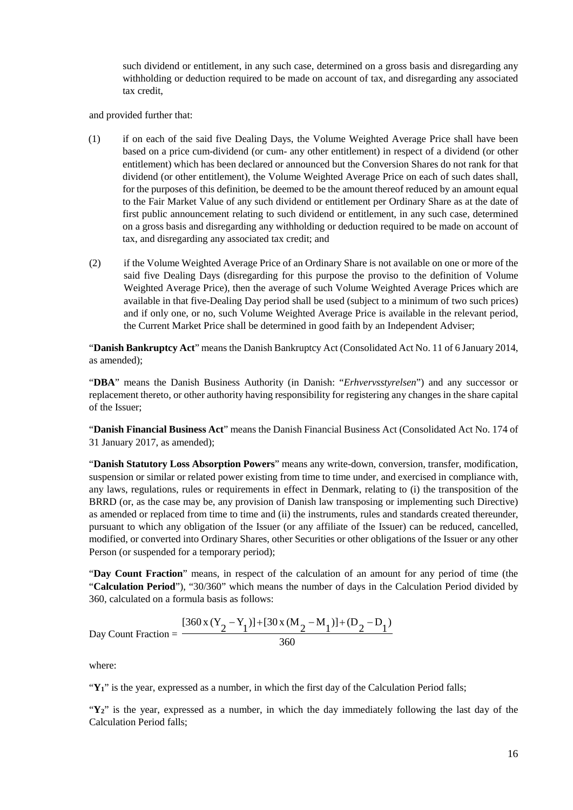such dividend or entitlement, in any such case, determined on a gross basis and disregarding any withholding or deduction required to be made on account of tax, and disregarding any associated tax credit,

and provided further that:

- (1) if on each of the said five Dealing Days, the Volume Weighted Average Price shall have been based on a price cum-dividend (or cum- any other entitlement) in respect of a dividend (or other entitlement) which has been declared or announced but the Conversion Shares do not rank for that dividend (or other entitlement), the Volume Weighted Average Price on each of such dates shall, for the purposes of this definition, be deemed to be the amount thereof reduced by an amount equal to the Fair Market Value of any such dividend or entitlement per Ordinary Share as at the date of first public announcement relating to such dividend or entitlement, in any such case, determined on a gross basis and disregarding any withholding or deduction required to be made on account of tax, and disregarding any associated tax credit; and
- (2) if the Volume Weighted Average Price of an Ordinary Share is not available on one or more of the said five Dealing Days (disregarding for this purpose the proviso to the definition of Volume Weighted Average Price), then the average of such Volume Weighted Average Prices which are available in that five-Dealing Day period shall be used (subject to a minimum of two such prices) and if only one, or no, such Volume Weighted Average Price is available in the relevant period, the Current Market Price shall be determined in good faith by an Independent Adviser;

"**Danish Bankruptcy Act**" means the Danish Bankruptcy Act (Consolidated Act No. 11 of 6 January 2014, as amended);

"**DBA**" means the Danish Business Authority (in Danish: "*Erhvervsstyrelsen*") and any successor or replacement thereto, or other authority having responsibility for registering any changes in the share capital of the Issuer;

"**Danish Financial Business Act**" means the Danish Financial Business Act (Consolidated Act No. 174 of 31 January 2017, as amended);

"**Danish Statutory Loss Absorption Powers**" means any write-down, conversion, transfer, modification, suspension or similar or related power existing from time to time under, and exercised in compliance with, any laws, regulations, rules or requirements in effect in Denmark, relating to (i) the transposition of the BRRD (or, as the case may be, any provision of Danish law transposing or implementing such Directive) as amended or replaced from time to time and (ii) the instruments, rules and standards created thereunder, pursuant to which any obligation of the Issuer (or any affiliate of the Issuer) can be reduced, cancelled, modified, or converted into Ordinary Shares, other Securities or other obligations of the Issuer or any other Person (or suspended for a temporary period);

"**Day Count Fraction**" means, in respect of the calculation of an amount for any period of time (the "**Calculation Period**"), "30/360" which means the number of days in the Calculation Period divided by 360, calculated on a formula basis as follows:

Day Count Fraction = 
$$
\frac{[360 \times (Y_2 - Y_1)] + [30 \times (M_2 - M_1)] + (D_2 - D_1)}{360}
$$

where:

"**Y1**" is the year, expressed as a number, in which the first day of the Calculation Period falls;

"Y<sub>2</sub>" is the year, expressed as a number, in which the day immediately following the last day of the Calculation Period falls;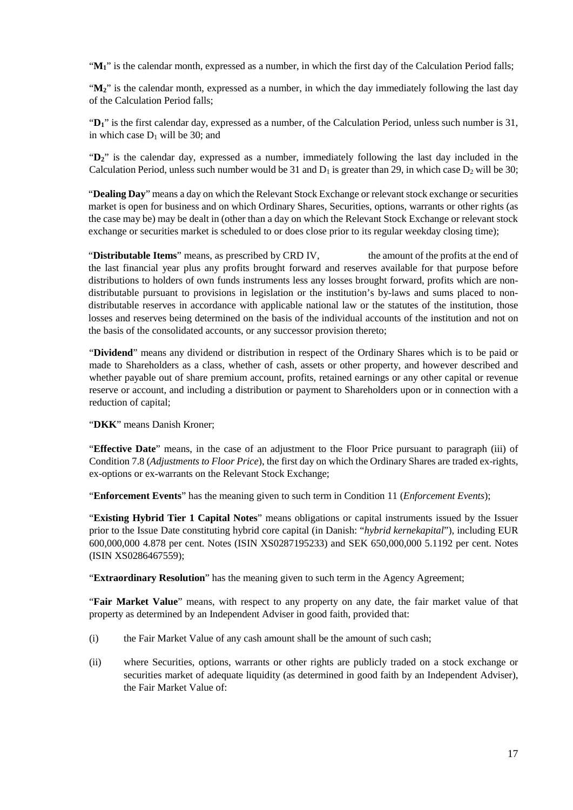" $M_1$ " is the calendar month, expressed as a number, in which the first day of the Calculation Period falls;

" $M_2$ " is the calendar month, expressed as a number, in which the day immediately following the last day of the Calculation Period falls;

"**D1**" is the first calendar day, expressed as a number, of the Calculation Period, unless such number is 31, in which case  $D_1$  will be 30; and

"**D2**" is the calendar day, expressed as a number, immediately following the last day included in the Calculation Period, unless such number would be 31 and  $D_1$  is greater than 29, in which case  $D_2$  will be 30;

"**Dealing Day**" means a day on which the Relevant Stock Exchange or relevant stock exchange or securities market is open for business and on which Ordinary Shares, Securities, options, warrants or other rights (as the case may be) may be dealt in (other than a day on which the Relevant Stock Exchange or relevant stock exchange or securities market is scheduled to or does close prior to its regular weekday closing time);

"**Distributable Items**" means, as prescribed by CRD IV, the amount of the profits at the end of the last financial year plus any profits brought forward and reserves available for that purpose before distributions to holders of own funds instruments less any losses brought forward, profits which are nondistributable pursuant to provisions in legislation or the institution's by-laws and sums placed to nondistributable reserves in accordance with applicable national law or the statutes of the institution, those losses and reserves being determined on the basis of the individual accounts of the institution and not on the basis of the consolidated accounts, or any successor provision thereto;

"**Dividend**" means any dividend or distribution in respect of the Ordinary Shares which is to be paid or made to Shareholders as a class, whether of cash, assets or other property, and however described and whether payable out of share premium account, profits, retained earnings or any other capital or revenue reserve or account, and including a distribution or payment to Shareholders upon or in connection with a reduction of capital;

"**DKK**" means Danish Kroner;

"**Effective Date**" means, in the case of an adjustment to the Floor Price pursuant to paragraph (iii) of Condition 7.8 (*Adjustments to Floor Price*), the first day on which the Ordinary Shares are traded ex-rights, ex-options or ex-warrants on the Relevant Stock Exchange;

"**Enforcement Events**" has the meaning given to such term in Condition 11 (*Enforcement Events*);

"**Existing Hybrid Tier 1 Capital Notes**" means obligations or capital instruments issued by the Issuer prior to the Issue Date constituting hybrid core capital (in Danish: "*hybrid kernekapital*"), including EUR 600,000,000 4.878 per cent. Notes (ISIN XS0287195233) and SEK 650,000,000 5.1192 per cent. Notes (ISIN XS0286467559);

"**Extraordinary Resolution**" has the meaning given to such term in the Agency Agreement;

"**Fair Market Value**" means, with respect to any property on any date, the fair market value of that property as determined by an Independent Adviser in good faith, provided that:

- (i) the Fair Market Value of any cash amount shall be the amount of such cash;
- (ii) where Securities, options, warrants or other rights are publicly traded on a stock exchange or securities market of adequate liquidity (as determined in good faith by an Independent Adviser), the Fair Market Value of: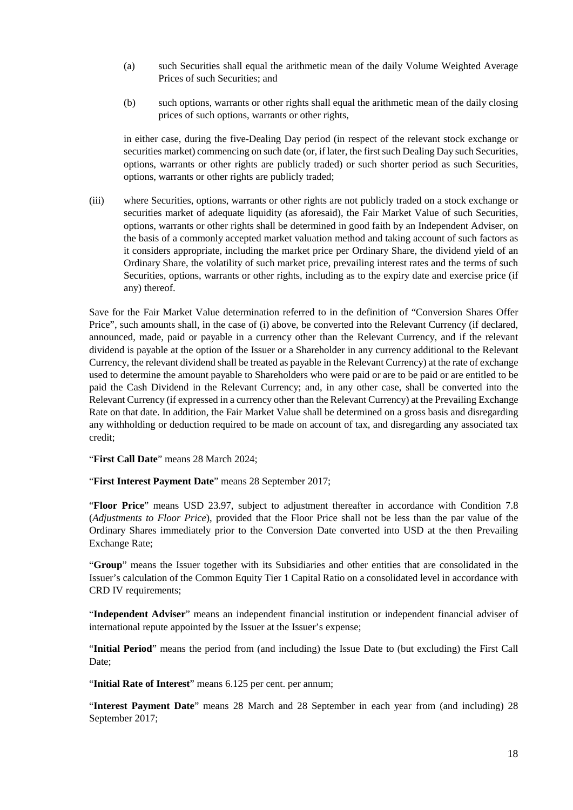- (a) such Securities shall equal the arithmetic mean of the daily Volume Weighted Average Prices of such Securities; and
- (b) such options, warrants or other rights shall equal the arithmetic mean of the daily closing prices of such options, warrants or other rights,

in either case, during the five-Dealing Day period (in respect of the relevant stock exchange or securities market) commencing on such date (or, if later, the first such Dealing Day such Securities, options, warrants or other rights are publicly traded) or such shorter period as such Securities, options, warrants or other rights are publicly traded;

(iii) where Securities, options, warrants or other rights are not publicly traded on a stock exchange or securities market of adequate liquidity (as aforesaid), the Fair Market Value of such Securities, options, warrants or other rights shall be determined in good faith by an Independent Adviser, on the basis of a commonly accepted market valuation method and taking account of such factors as it considers appropriate, including the market price per Ordinary Share, the dividend yield of an Ordinary Share, the volatility of such market price, prevailing interest rates and the terms of such Securities, options, warrants or other rights, including as to the expiry date and exercise price (if any) thereof.

Save for the Fair Market Value determination referred to in the definition of "Conversion Shares Offer Price", such amounts shall, in the case of (i) above, be converted into the Relevant Currency (if declared, announced, made, paid or payable in a currency other than the Relevant Currency, and if the relevant dividend is payable at the option of the Issuer or a Shareholder in any currency additional to the Relevant Currency, the relevant dividend shall be treated as payable in the Relevant Currency) at the rate of exchange used to determine the amount payable to Shareholders who were paid or are to be paid or are entitled to be paid the Cash Dividend in the Relevant Currency; and, in any other case, shall be converted into the Relevant Currency (if expressed in a currency other than the Relevant Currency) at the Prevailing Exchange Rate on that date. In addition, the Fair Market Value shall be determined on a gross basis and disregarding any withholding or deduction required to be made on account of tax, and disregarding any associated tax credit;

"**First Call Date**" means 28 March 2024;

"**First Interest Payment Date**" means 28 September 2017;

"**Floor Price**" means USD 23.97, subject to adjustment thereafter in accordance with Condition 7.8 (*Adjustments to Floor Price*), provided that the Floor Price shall not be less than the par value of the Ordinary Shares immediately prior to the Conversion Date converted into USD at the then Prevailing Exchange Rate;

"**Group**" means the Issuer together with its Subsidiaries and other entities that are consolidated in the Issuer's calculation of the Common Equity Tier 1 Capital Ratio on a consolidated level in accordance with CRD IV requirements;

"**Independent Adviser**" means an independent financial institution or independent financial adviser of international repute appointed by the Issuer at the Issuer's expense;

"**Initial Period**" means the period from (and including) the Issue Date to (but excluding) the First Call Date;

"**Initial Rate of Interest**" means 6.125 per cent. per annum;

"**Interest Payment Date**" means 28 March and 28 September in each year from (and including) 28 September 2017;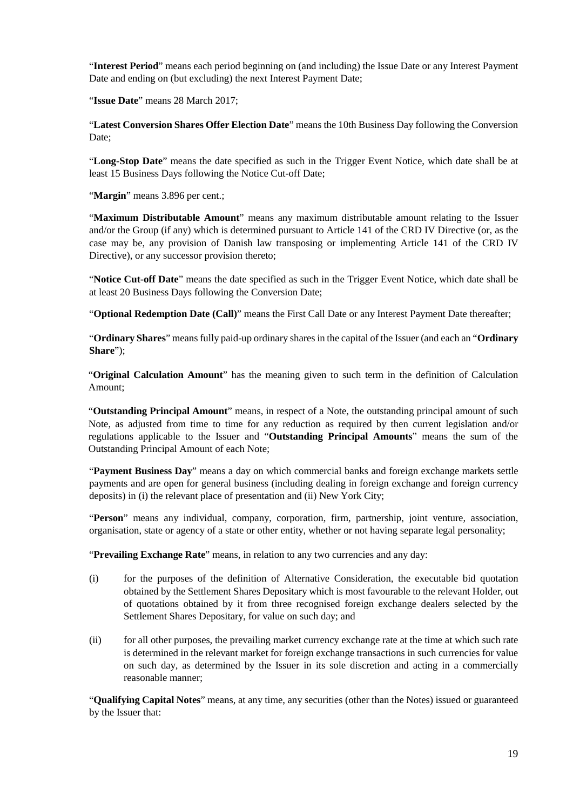"**Interest Period**" means each period beginning on (and including) the Issue Date or any Interest Payment Date and ending on (but excluding) the next Interest Payment Date;

"**Issue Date**" means 28 March 2017;

"**Latest Conversion Shares Offer Election Date**" means the 10th Business Day following the Conversion Date;

"**Long-Stop Date**" means the date specified as such in the Trigger Event Notice, which date shall be at least 15 Business Days following the Notice Cut-off Date;

"**Margin**" means 3.896 per cent.;

"**Maximum Distributable Amount**" means any maximum distributable amount relating to the Issuer and/or the Group (if any) which is determined pursuant to Article 141 of the CRD IV Directive (or, as the case may be, any provision of Danish law transposing or implementing Article 141 of the CRD IV Directive), or any successor provision thereto;

"**Notice Cut-off Date**" means the date specified as such in the Trigger Event Notice, which date shall be at least 20 Business Days following the Conversion Date;

"**Optional Redemption Date (Call)**" means the First Call Date or any Interest Payment Date thereafter;

"**Ordinary Shares**" means fully paid-up ordinary shares in the capital of the Issuer (and each an "**Ordinary Share**");

"**Original Calculation Amount**" has the meaning given to such term in the definition of Calculation Amount;

"**Outstanding Principal Amount**" means, in respect of a Note, the outstanding principal amount of such Note, as adjusted from time to time for any reduction as required by then current legislation and/or regulations applicable to the Issuer and "**Outstanding Principal Amounts**" means the sum of the Outstanding Principal Amount of each Note;

"**Payment Business Day**" means a day on which commercial banks and foreign exchange markets settle payments and are open for general business (including dealing in foreign exchange and foreign currency deposits) in (i) the relevant place of presentation and (ii) New York City;

"**Person**" means any individual, company, corporation, firm, partnership, joint venture, association, organisation, state or agency of a state or other entity, whether or not having separate legal personality;

"**Prevailing Exchange Rate**" means, in relation to any two currencies and any day:

- (i) for the purposes of the definition of Alternative Consideration, the executable bid quotation obtained by the Settlement Shares Depositary which is most favourable to the relevant Holder, out of quotations obtained by it from three recognised foreign exchange dealers selected by the Settlement Shares Depositary, for value on such day; and
- (ii) for all other purposes, the prevailing market currency exchange rate at the time at which such rate is determined in the relevant market for foreign exchange transactions in such currencies for value on such day, as determined by the Issuer in its sole discretion and acting in a commercially reasonable manner;

"**Qualifying Capital Notes**" means, at any time, any securities (other than the Notes) issued or guaranteed by the Issuer that: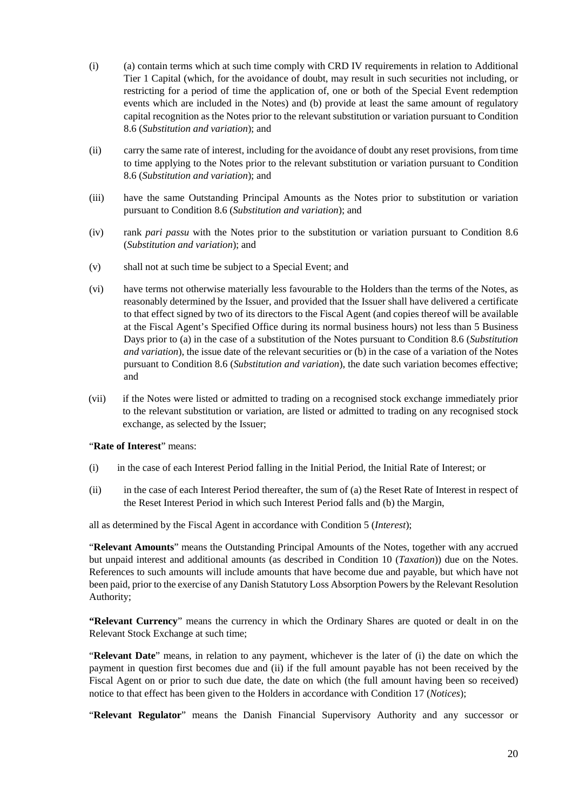- (i) (a) contain terms which at such time comply with CRD IV requirements in relation to Additional Tier 1 Capital (which, for the avoidance of doubt, may result in such securities not including, or restricting for a period of time the application of, one or both of the Special Event redemption events which are included in the Notes) and (b) provide at least the same amount of regulatory capital recognition as the Notes prior to the relevant substitution or variation pursuant to Condition [8.6](#page-36-0) (*Substitution and variation*); and
- (ii) carry the same rate of interest, including for the avoidance of doubt any reset provisions, from time to time applying to the Notes prior to the relevant substitution or variation pursuant to Condition [8.6](#page-36-0) (*Substitution and variation*); and
- (iii) have the same Outstanding Principal Amounts as the Notes prior to substitution or variation pursuant to Condition 8.6 (*Substitution and variation*); and
- (iv) rank *pari passu* with the Notes prior to the substitution or variation pursuant to Condition [8.6](#page-36-0) (*Substitution and variation*); and
- (v) shall not at such time be subject to a Special Event; and
- (vi) have terms not otherwise materially less favourable to the Holders than the terms of the Notes, as reasonably determined by the Issuer, and provided that the Issuer shall have delivered a certificate to that effect signed by two of its directors to the Fiscal Agent (and copies thereof will be available at the Fiscal Agent's Specified Office during its normal business hours) not less than 5 Business Days prior to (a) in the case of a substitution of the Notes pursuant to Condition [8.6](#page-36-0) (*Substitution and variation*), the issue date of the relevant securities or (b) in the case of a variation of the Notes pursuant to Condition [8.6](#page-36-0) (*Substitution and variation*), the date such variation becomes effective; and
- (vii) if the Notes were listed or admitted to trading on a recognised stock exchange immediately prior to the relevant substitution or variation, are listed or admitted to trading on any recognised stock exchange, as selected by the Issuer;

#### "**Rate of Interest**" means:

- (i) in the case of each Interest Period falling in the Initial Period, the Initial Rate of Interest; or
- (ii) in the case of each Interest Period thereafter, the sum of (a) the Reset Rate of Interest in respect of the Reset Interest Period in which such Interest Period falls and (b) the Margin,

all as determined by the Fiscal Agent in accordance with Condition 5 (*Interest*);

"**Relevant Amounts**" means the Outstanding Principal Amounts of the Notes, together with any accrued but unpaid interest and additional amounts (as described in Condition 10 (*Taxation*)) due on the Notes. References to such amounts will include amounts that have become due and payable, but which have not been paid, prior to the exercise of any Danish Statutory Loss Absorption Powers by the Relevant Resolution Authority;

**"Relevant Currency**" means the currency in which the Ordinary Shares are quoted or dealt in on the Relevant Stock Exchange at such time;

"**Relevant Date**" means, in relation to any payment, whichever is the later of (i) the date on which the payment in question first becomes due and (ii) if the full amount payable has not been received by the Fiscal Agent on or prior to such due date, the date on which (the full amount having been so received) notice to that effect has been given to the Holders in accordance with Condition [17](#page-41-0) (*Notices*);

"**Relevant Regulator**" means the Danish Financial Supervisory Authority and any successor or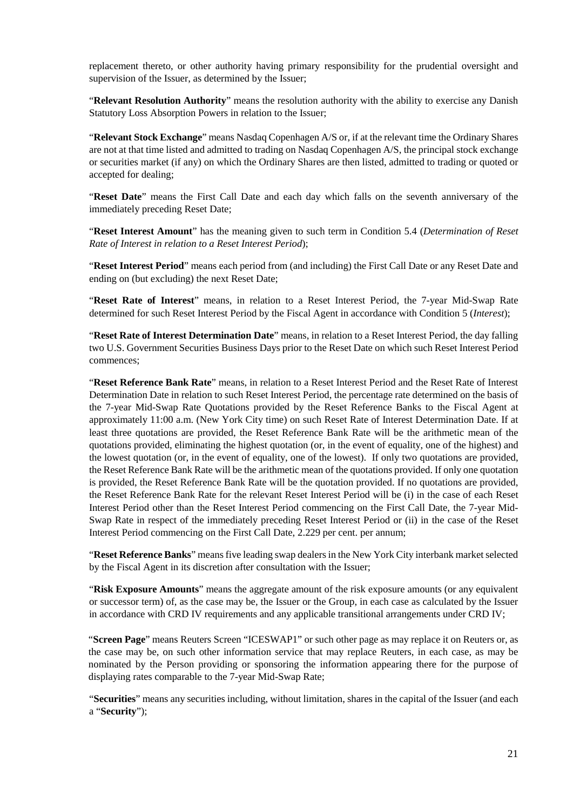replacement thereto, or other authority having primary responsibility for the prudential oversight and supervision of the Issuer, as determined by the Issuer;

"**Relevant Resolution Authority**" means the resolution authority with the ability to exercise any Danish Statutory Loss Absorption Powers in relation to the Issuer;

"**Relevant Stock Exchange**" means Nasdaq Copenhagen A/S or, if at the relevant time the Ordinary Shares are not at that time listed and admitted to trading on Nasdaq Copenhagen A/S, the principal stock exchange or securities market (if any) on which the Ordinary Shares are then listed, admitted to trading or quoted or accepted for dealing;

"**Reset Date**" means the First Call Date and each day which falls on the seventh anniversary of the immediately preceding Reset Date;

"**Reset Interest Amount**" has the meaning given to such term in Condition 5.4 (*Determination of Reset Rate of Interest in relation to a Reset Interest Period*);

"**Reset Interest Period**" means each period from (and including) the First Call Date or any Reset Date and ending on (but excluding) the next Reset Date;

"**Reset Rate of Interest**" means, in relation to a Reset Interest Period, the 7-year Mid-Swap Rate determined for such Reset Interest Period by the Fiscal Agent in accordance with Condition 5 (*Interest*);

"**Reset Rate of Interest Determination Date**" means, in relation to a Reset Interest Period, the day falling two U.S. Government Securities Business Days prior to the Reset Date on which such Reset Interest Period commences;

"**Reset Reference Bank Rate**" means, in relation to a Reset Interest Period and the Reset Rate of Interest Determination Date in relation to such Reset Interest Period, the percentage rate determined on the basis of the 7-year Mid-Swap Rate Quotations provided by the Reset Reference Banks to the Fiscal Agent at approximately 11:00 a.m. (New York City time) on such Reset Rate of Interest Determination Date. If at least three quotations are provided, the Reset Reference Bank Rate will be the arithmetic mean of the quotations provided, eliminating the highest quotation (or, in the event of equality, one of the highest) and the lowest quotation (or, in the event of equality, one of the lowest). If only two quotations are provided, the Reset Reference Bank Rate will be the arithmetic mean of the quotations provided. If only one quotation is provided, the Reset Reference Bank Rate will be the quotation provided. If no quotations are provided, the Reset Reference Bank Rate for the relevant Reset Interest Period will be (i) in the case of each Reset Interest Period other than the Reset Interest Period commencing on the First Call Date, the 7-year Mid-Swap Rate in respect of the immediately preceding Reset Interest Period or (ii) in the case of the Reset Interest Period commencing on the First Call Date, 2.229 per cent. per annum;

"**Reset Reference Banks**" means five leading swap dealers in the New York City interbank market selected by the Fiscal Agent in its discretion after consultation with the Issuer;

"**Risk Exposure Amounts**" means the aggregate amount of the risk exposure amounts (or any equivalent or successor term) of, as the case may be, the Issuer or the Group, in each case as calculated by the Issuer in accordance with CRD IV requirements and any applicable transitional arrangements under CRD IV;

"**Screen Page**" means Reuters Screen "ICESWAP1" or such other page as may replace it on Reuters or, as the case may be, on such other information service that may replace Reuters, in each case, as may be nominated by the Person providing or sponsoring the information appearing there for the purpose of displaying rates comparable to the 7-year Mid-Swap Rate;

"**Securities**" means any securities including, without limitation, shares in the capital of the Issuer (and each a "**Security**");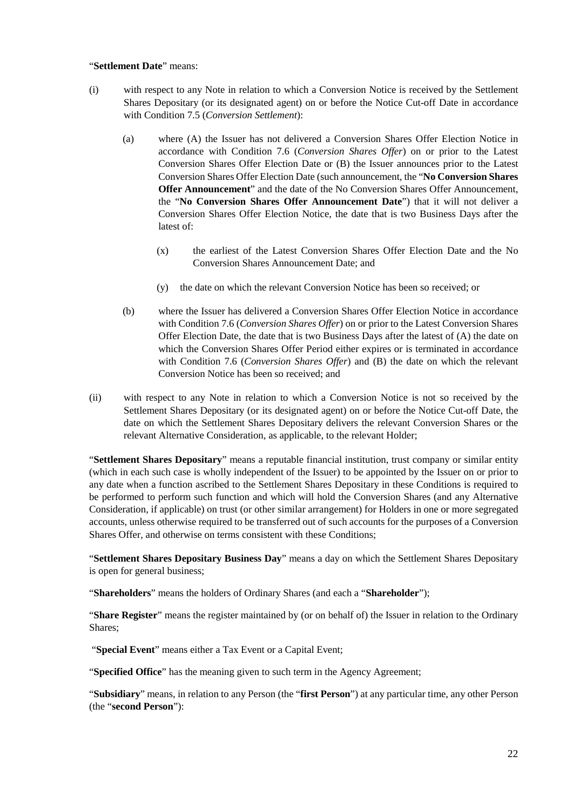#### "**Settlement Date**" means:

- (i) with respect to any Note in relation to which a Conversion Notice is received by the Settlement Shares Depositary (or its designated agent) on or before the Notice Cut-off Date in accordance with Condition 7.5 (*Conversion Settlement*):
	- (a) where (A) the Issuer has not delivered a Conversion Shares Offer Election Notice in accordance with Condition 7.6 (*Conversion Shares Offer*) on or prior to the Latest Conversion Shares Offer Election Date or (B) the Issuer announces prior to the Latest Conversion Shares Offer Election Date (such announcement, the "**No Conversion Shares Offer Announcement**" and the date of the No Conversion Shares Offer Announcement, the "**No Conversion Shares Offer Announcement Date**") that it will not deliver a Conversion Shares Offer Election Notice, the date that is two Business Days after the latest of:
		- (x) the earliest of the Latest Conversion Shares Offer Election Date and the No Conversion Shares Announcement Date; and
		- (y) the date on which the relevant Conversion Notice has been so received; or
	- (b) where the Issuer has delivered a Conversion Shares Offer Election Notice in accordance with Condition 7.6 (*Conversion Shares Offer*) on or prior to the Latest Conversion Shares Offer Election Date, the date that is two Business Days after the latest of (A) the date on which the Conversion Shares Offer Period either expires or is terminated in accordance with Condition 7.6 (*Conversion Shares Offer*) and (B) the date on which the relevant Conversion Notice has been so received; and
- (ii) with respect to any Note in relation to which a Conversion Notice is not so received by the Settlement Shares Depositary (or its designated agent) on or before the Notice Cut-off Date, the date on which the Settlement Shares Depositary delivers the relevant Conversion Shares or the relevant Alternative Consideration, as applicable, to the relevant Holder;

"**Settlement Shares Depositary**" means a reputable financial institution, trust company or similar entity (which in each such case is wholly independent of the Issuer) to be appointed by the Issuer on or prior to any date when a function ascribed to the Settlement Shares Depositary in these Conditions is required to be performed to perform such function and which will hold the Conversion Shares (and any Alternative Consideration, if applicable) on trust (or other similar arrangement) for Holders in one or more segregated accounts, unless otherwise required to be transferred out of such accounts for the purposes of a Conversion Shares Offer, and otherwise on terms consistent with these Conditions;

"**Settlement Shares Depositary Business Day**" means a day on which the Settlement Shares Depositary is open for general business;

"**Shareholders**" means the holders of Ordinary Shares (and each a "**Shareholder**");

"**Share Register**" means the register maintained by (or on behalf of) the Issuer in relation to the Ordinary Shares;

"**Special Event**" means either a Tax Event or a Capital Event;

"**Specified Office**" has the meaning given to such term in the Agency Agreement;

"**Subsidiary**" means, in relation to any Person (the "**first Person**") at any particular time, any other Person (the "**second Person**"):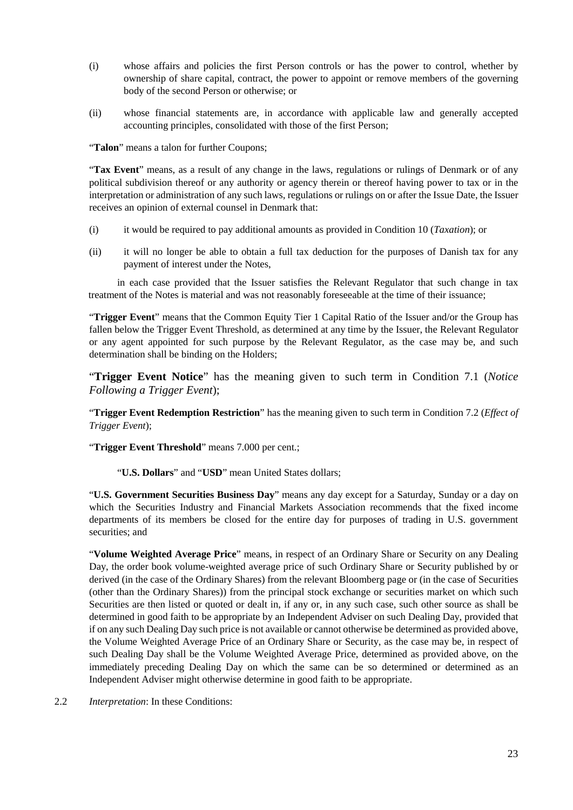- (i) whose affairs and policies the first Person controls or has the power to control, whether by ownership of share capital, contract, the power to appoint or remove members of the governing body of the second Person or otherwise; or
- (ii) whose financial statements are, in accordance with applicable law and generally accepted accounting principles, consolidated with those of the first Person;

"**Talon**" means a talon for further Coupons;

"**Tax Event**" means, as a result of any change in the laws, regulations or rulings of Denmark or of any political subdivision thereof or any authority or agency therein or thereof having power to tax or in the interpretation or administration of any such laws, regulations or rulings on or after the Issue Date, the Issuer receives an opinion of external counsel in Denmark that:

- (i) it would be required to pay additional amounts as provided in Condition 10 (*Taxation*); or
- (ii) it will no longer be able to obtain a full tax deduction for the purposes of Danish tax for any payment of interest under the Notes,

in each case provided that the Issuer satisfies the Relevant Regulator that such change in tax treatment of the Notes is material and was not reasonably foreseeable at the time of their issuance;

"**Trigger Event**" means that the Common Equity Tier 1 Capital Ratio of the Issuer and/or the Group has fallen below the Trigger Event Threshold, as determined at any time by the Issuer, the Relevant Regulator or any agent appointed for such purpose by the Relevant Regulator, as the case may be, and such determination shall be binding on the Holders;

"**Trigger Event Notice**" has the meaning given to such term in Condition 7.1 (*Notice Following a Trigger Event*);

"**Trigger Event Redemption Restriction**" has the meaning given to such term in Condition 7.2 (*Effect of Trigger Event*);

"**Trigger Event Threshold**" means 7.000 per cent.;

"**U.S. Dollars**" and "**USD**" mean United States dollars;

"**U.S. Government Securities Business Day**" means any day except for a Saturday, Sunday or a day on which the Securities Industry and Financial Markets Association recommends that the fixed income departments of its members be closed for the entire day for purposes of trading in U.S. government securities; and

"**Volume Weighted Average Price**" means, in respect of an Ordinary Share or Security on any Dealing Day, the order book volume-weighted average price of such Ordinary Share or Security published by or derived (in the case of the Ordinary Shares) from the relevant Bloomberg page or (in the case of Securities (other than the Ordinary Shares)) from the principal stock exchange or securities market on which such Securities are then listed or quoted or dealt in, if any or, in any such case, such other source as shall be determined in good faith to be appropriate by an Independent Adviser on such Dealing Day, provided that if on any such Dealing Day such price is not available or cannot otherwise be determined as provided above, the Volume Weighted Average Price of an Ordinary Share or Security, as the case may be, in respect of such Dealing Day shall be the Volume Weighted Average Price, determined as provided above, on the immediately preceding Dealing Day on which the same can be so determined or determined as an Independent Adviser might otherwise determine in good faith to be appropriate.

2.2 *Interpretation*: In these Conditions: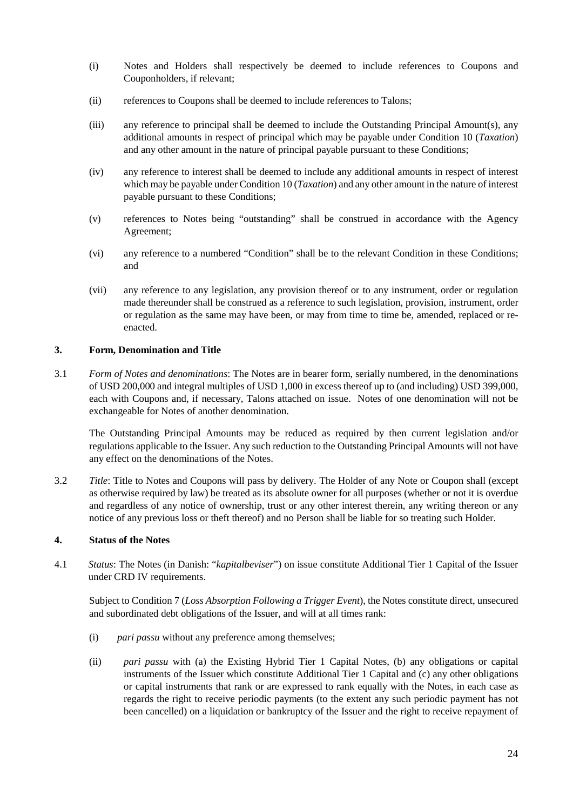- (i) Notes and Holders shall respectively be deemed to include references to Coupons and Couponholders, if relevant;
- (ii) references to Coupons shall be deemed to include references to Talons;
- (iii) any reference to principal shall be deemed to include the Outstanding Principal Amount(s), any additional amounts in respect of principal which may be payable under Condition 10 (*Taxation*) and any other amount in the nature of principal payable pursuant to these Conditions;
- (iv) any reference to interest shall be deemed to include any additional amounts in respect of interest which may be payable under Condition 10 (*Taxation*) and any other amount in the nature of interest payable pursuant to these Conditions;
- (v) references to Notes being "outstanding" shall be construed in accordance with the Agency Agreement;
- (vi) any reference to a numbered "Condition" shall be to the relevant Condition in these Conditions; and
- (vii) any reference to any legislation, any provision thereof or to any instrument, order or regulation made thereunder shall be construed as a reference to such legislation, provision, instrument, order or regulation as the same may have been, or may from time to time be, amended, replaced or reenacted.

### **3. Form, Denomination and Title**

3.1 *Form of Notes and denominations*: The Notes are in bearer form, serially numbered, in the denominations of USD 200,000 and integral multiples of USD 1,000 in excess thereof up to (and including) USD 399,000, each with Coupons and, if necessary, Talons attached on issue. Notes of one denomination will not be exchangeable for Notes of another denomination.

The Outstanding Principal Amounts may be reduced as required by then current legislation and/or regulations applicable to the Issuer. Any such reduction to the Outstanding Principal Amounts will not have any effect on the denominations of the Notes.

3.2 *Title*: Title to Notes and Coupons will pass by delivery. The Holder of any Note or Coupon shall (except as otherwise required by law) be treated as its absolute owner for all purposes (whether or not it is overdue and regardless of any notice of ownership, trust or any other interest therein, any writing thereon or any notice of any previous loss or theft thereof) and no Person shall be liable for so treating such Holder.

#### **4. Status of the Notes**

4.1 *Status*: The Notes (in Danish: "*kapitalbeviser*") on issue constitute Additional Tier 1 Capital of the Issuer under CRD IV requirements.

Subject to Condition 7 (*Loss Absorption Following a Trigger Event*), the Notes constitute direct, unsecured and subordinated debt obligations of the Issuer, and will at all times rank:

- (i) *pari passu* without any preference among themselves;
- (ii) *pari passu* with (a) the Existing Hybrid Tier 1 Capital Notes, (b) any obligations or capital instruments of the Issuer which constitute Additional Tier 1 Capital and (c) any other obligations or capital instruments that rank or are expressed to rank equally with the Notes, in each case as regards the right to receive periodic payments (to the extent any such periodic payment has not been cancelled) on a liquidation or bankruptcy of the Issuer and the right to receive repayment of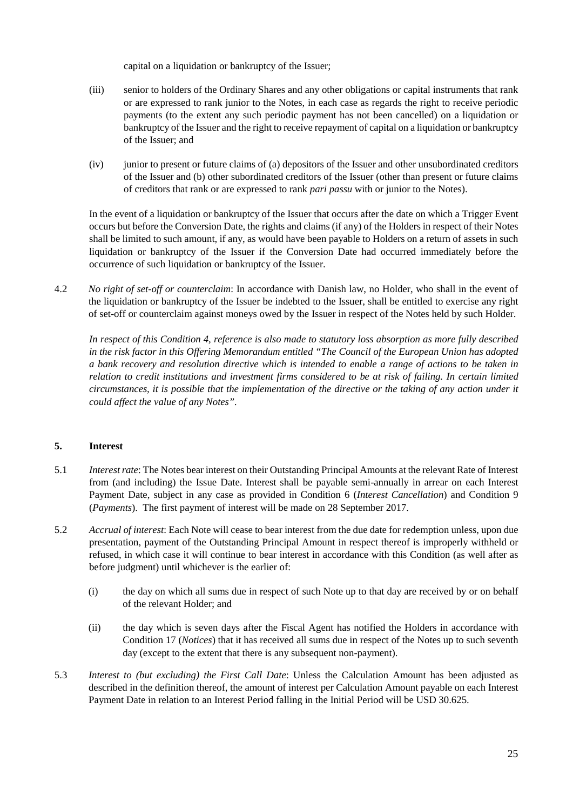capital on a liquidation or bankruptcy of the Issuer;

- (iii) senior to holders of the Ordinary Shares and any other obligations or capital instruments that rank or are expressed to rank junior to the Notes, in each case as regards the right to receive periodic payments (to the extent any such periodic payment has not been cancelled) on a liquidation or bankruptcy of the Issuer and the right to receive repayment of capital on a liquidation or bankruptcy of the Issuer; and
- (iv) junior to present or future claims of (a) depositors of the Issuer and other unsubordinated creditors of the Issuer and (b) other subordinated creditors of the Issuer (other than present or future claims of creditors that rank or are expressed to rank *pari passu* with or junior to the Notes).

In the event of a liquidation or bankruptcy of the Issuer that occurs after the date on which a Trigger Event occurs but before the Conversion Date, the rights and claims (if any) of the Holders in respect of their Notes shall be limited to such amount, if any, as would have been payable to Holders on a return of assets in such liquidation or bankruptcy of the Issuer if the Conversion Date had occurred immediately before the occurrence of such liquidation or bankruptcy of the Issuer.

4.2 *No right of set-off or counterclaim*: In accordance with Danish law, no Holder, who shall in the event of the liquidation or bankruptcy of the Issuer be indebted to the Issuer, shall be entitled to exercise any right of set-off or counterclaim against moneys owed by the Issuer in respect of the Notes held by such Holder.

*In respect of this Condition 4, reference is also made to statutory loss absorption as more fully described in the risk factor in this Offering Memorandum entitled "The Council of the European Union has adopted a bank recovery and resolution directive which is intended to enable a range of actions to be taken in relation to credit institutions and investment firms considered to be at risk of failing. In certain limited circumstances, it is possible that the implementation of the directive or the taking of any action under it could affect the value of any Notes".*

#### **5. Interest**

- 5.1 *Interest rate*: The Notes bear interest on their Outstanding Principal Amounts at the relevant Rate of Interest from (and including) the Issue Date. Interest shall be payable semi-annually in arrear on each Interest Payment Date, subject in any case as provided in Condition 6 (*Interest Cancellation*) and Condition 9 (*Payments*). The first payment of interest will be made on 28 September 2017.
- 5.2 *Accrual of interest*: Each Note will cease to bear interest from the due date for redemption unless, upon due presentation, payment of the Outstanding Principal Amount in respect thereof is improperly withheld or refused, in which case it will continue to bear interest in accordance with this Condition (as well after as before judgment) until whichever is the earlier of:
	- (i) the day on which all sums due in respect of such Note up to that day are received by or on behalf of the relevant Holder; and
	- (ii) the day which is seven days after the Fiscal Agent has notified the Holders in accordance with Condition [17](#page-41-0) (*Notices*) that it has received all sums due in respect of the Notes up to such seventh day (except to the extent that there is any subsequent non-payment).
- 5.3 *Interest to (but excluding) the First Call Date*: Unless the Calculation Amount has been adjusted as described in the definition thereof, the amount of interest per Calculation Amount payable on each Interest Payment Date in relation to an Interest Period falling in the Initial Period will be USD 30.625.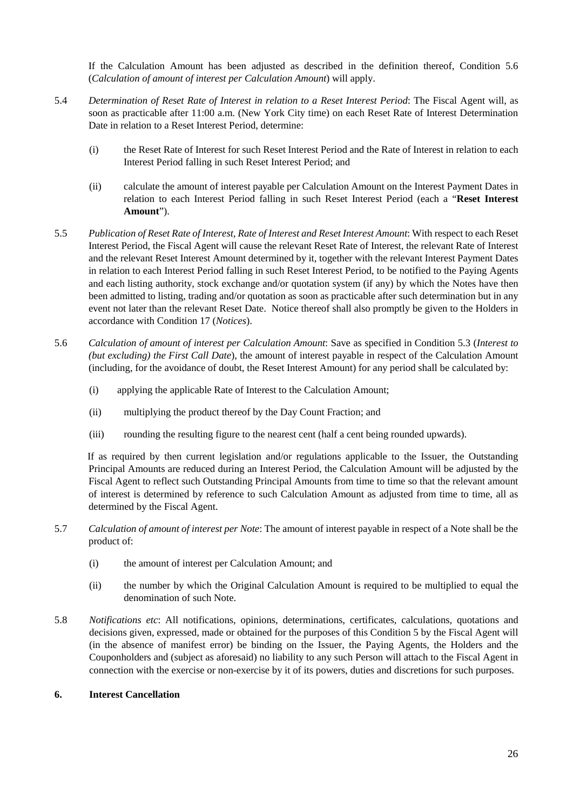If the Calculation Amount has been adjusted as described in the definition thereof, Condition 5.6 (*Calculation of amount of interest per Calculation Amount*) will apply.

- 5.4 *Determination of Reset Rate of Interest in relation to a Reset Interest Period*: The Fiscal Agent will, as soon as practicable after 11:00 a.m. (New York City time) on each Reset Rate of Interest Determination Date in relation to a Reset Interest Period, determine:
	- (i) the Reset Rate of Interest for such Reset Interest Period and the Rate of Interest in relation to each Interest Period falling in such Reset Interest Period; and
	- (ii) calculate the amount of interest payable per Calculation Amount on the Interest Payment Dates in relation to each Interest Period falling in such Reset Interest Period (each a "**Reset Interest Amount**").
- 5.5 *Publication of Reset Rate of Interest, Rate of Interest and Reset Interest Amount*: With respect to each Reset Interest Period, the Fiscal Agent will cause the relevant Reset Rate of Interest, the relevant Rate of Interest and the relevant Reset Interest Amount determined by it, together with the relevant Interest Payment Dates in relation to each Interest Period falling in such Reset Interest Period, to be notified to the Paying Agents and each listing authority, stock exchange and/or quotation system (if any) by which the Notes have then been admitted to listing, trading and/or quotation as soon as practicable after such determination but in any event not later than the relevant Reset Date. Notice thereof shall also promptly be given to the Holders in accordance with Condition [17](#page-41-0) (*Notices*).
- 5.6 *Calculation of amount of interest per Calculation Amount*: Save as specified in Condition 5.3 (*Interest to (but excluding) the First Call Date*), the amount of interest payable in respect of the Calculation Amount (including, for the avoidance of doubt, the Reset Interest Amount) for any period shall be calculated by:
	- (i) applying the applicable Rate of Interest to the Calculation Amount;
	- (ii) multiplying the product thereof by the Day Count Fraction; and
	- (iii) rounding the resulting figure to the nearest cent (half a cent being rounded upwards).

If as required by then current legislation and/or regulations applicable to the Issuer, the Outstanding Principal Amounts are reduced during an Interest Period, the Calculation Amount will be adjusted by the Fiscal Agent to reflect such Outstanding Principal Amounts from time to time so that the relevant amount of interest is determined by reference to such Calculation Amount as adjusted from time to time, all as determined by the Fiscal Agent.

- 5.7 *Calculation of amount of interest per Note*: The amount of interest payable in respect of a Note shall be the product of:
	- (i) the amount of interest per Calculation Amount; and
	- (ii) the number by which the Original Calculation Amount is required to be multiplied to equal the denomination of such Note.
- 5.8 *Notifications etc*: All notifications, opinions, determinations, certificates, calculations, quotations and decisions given, expressed, made or obtained for the purposes of this Condition 5 by the Fiscal Agent will (in the absence of manifest error) be binding on the Issuer, the Paying Agents, the Holders and the Couponholders and (subject as aforesaid) no liability to any such Person will attach to the Fiscal Agent in connection with the exercise or non-exercise by it of its powers, duties and discretions for such purposes.

#### **6. Interest Cancellation**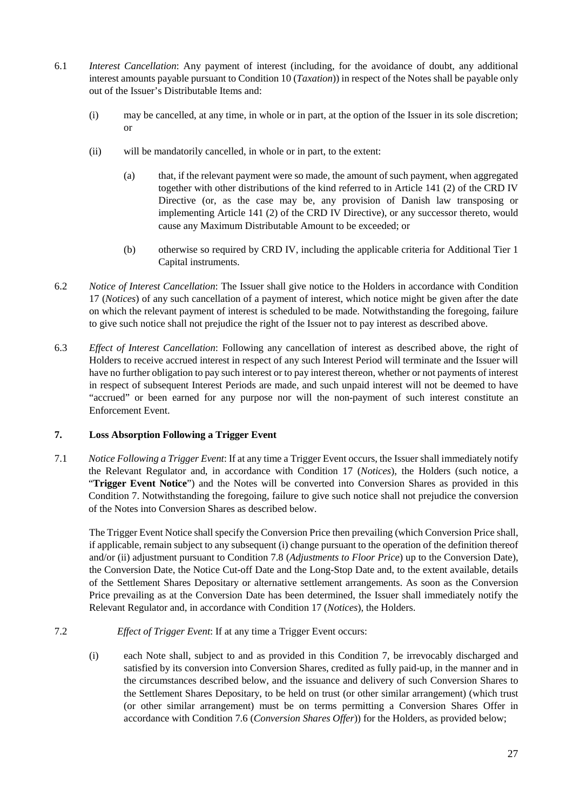- 6.1 *Interest Cancellation*: Any payment of interest (including, for the avoidance of doubt, any additional interest amounts payable pursuant to Condition 10 (*Taxation*)) in respect of the Notes shall be payable only out of the Issuer's Distributable Items and:
	- (i) may be cancelled, at any time, in whole or in part, at the option of the Issuer in its sole discretion; or
	- (ii) will be mandatorily cancelled, in whole or in part, to the extent:
		- (a) that, if the relevant payment were so made, the amount ofsuch payment, when aggregated together with other distributions of the kind referred to in Article 141 (2) of the CRD IV Directive (or, as the case may be, any provision of Danish law transposing or implementing Article 141 (2) of the CRD IV Directive), or any successor thereto, would cause any Maximum Distributable Amount to be exceeded; or
		- (b) otherwise so required by CRD IV, including the applicable criteria for Additional Tier 1 Capital instruments.
- 6.2 *Notice of Interest Cancellation*: The Issuer shall give notice to the Holders in accordance with Condition [17](#page-41-0) (*Notices*) of any such cancellation of a payment of interest, which notice might be given after the date on which the relevant payment of interest is scheduled to be made. Notwithstanding the foregoing, failure to give such notice shall not prejudice the right of the Issuer not to pay interest as described above.
- 6.3 *Effect of Interest Cancellation*: Following any cancellation of interest as described above, the right of Holders to receive accrued interest in respect of any such Interest Period will terminate and the Issuer will have no further obligation to pay such interest or to pay interest thereon, whether or not payments of interest in respect of subsequent Interest Periods are made, and such unpaid interest will not be deemed to have "accrued" or been earned for any purpose nor will the non-payment of such interest constitute an Enforcement Event.

#### **7. Loss Absorption Following a Trigger Event**

7.1 *Notice Following a Trigger Event*: If at any time a Trigger Event occurs, the Issuer shall immediately notify the Relevant Regulator and, in accordance with Condition 17 (*Notices*), the Holders (such notice, a "**Trigger Event Notice**") and the Notes will be converted into Conversion Shares as provided in this Condition 7. Notwithstanding the foregoing, failure to give such notice shall not prejudice the conversion of the Notes into Conversion Shares as described below.

The Trigger Event Notice shall specify the Conversion Price then prevailing (which Conversion Price shall, if applicable, remain subject to any subsequent (i) change pursuant to the operation of the definition thereof and/or (ii) adjustment pursuant to Condition 7.8 (*Adjustments to Floor Price*) up to the Conversion Date), the Conversion Date, the Notice Cut-off Date and the Long-Stop Date and, to the extent available, details of the Settlement Shares Depositary or alternative settlement arrangements. As soon as the Conversion Price prevailing as at the Conversion Date has been determined, the Issuer shall immediately notify the Relevant Regulator and, in accordance with Condition 17 (*Notices*), the Holders.

- 7.2 *Effect of Trigger Event*: If at any time a Trigger Event occurs:
	- (i) each Note shall, subject to and as provided in this Condition 7, be irrevocably discharged and satisfied by its conversion into Conversion Shares, credited as fully paid-up, in the manner and in the circumstances described below, and the issuance and delivery of such Conversion Shares to the Settlement Shares Depositary, to be held on trust (or other similar arrangement) (which trust (or other similar arrangement) must be on terms permitting a Conversion Shares Offer in accordance with Condition 7.6 (*Conversion Shares Offer*)) for the Holders, as provided below;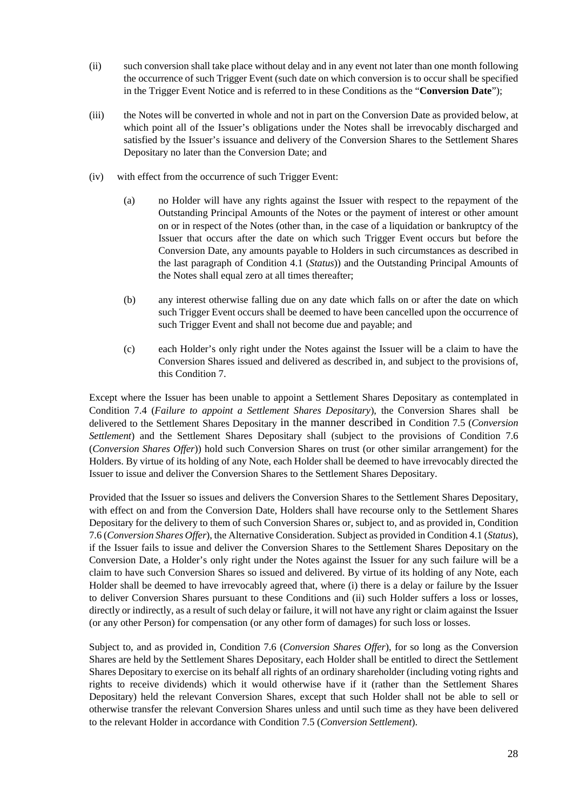- (ii) such conversion shall take place without delay and in any event not later than one month following the occurrence of such Trigger Event (such date on which conversion is to occur shall be specified in the Trigger Event Notice and is referred to in these Conditions as the "**Conversion Date**");
- (iii) the Notes will be converted in whole and not in part on the Conversion Date as provided below, at which point all of the Issuer's obligations under the Notes shall be irrevocably discharged and satisfied by the Issuer's issuance and delivery of the Conversion Shares to the Settlement Shares Depositary no later than the Conversion Date; and
- (iv) with effect from the occurrence of such Trigger Event:
	- (a) no Holder will have any rights against the Issuer with respect to the repayment of the Outstanding Principal Amounts of the Notes or the payment of interest or other amount on or in respect of the Notes (other than, in the case of a liquidation or bankruptcy of the Issuer that occurs after the date on which such Trigger Event occurs but before the Conversion Date, any amounts payable to Holders in such circumstances as described in the last paragraph of Condition 4.1 (*Status*)) and the Outstanding Principal Amounts of the Notes shall equal zero at all times thereafter;
	- (b) any interest otherwise falling due on any date which falls on or after the date on which such Trigger Event occurs shall be deemed to have been cancelled upon the occurrence of such Trigger Event and shall not become due and payable; and
	- (c) each Holder's only right under the Notes against the Issuer will be a claim to have the Conversion Shares issued and delivered as described in, and subject to the provisions of, this Condition 7.

Except where the Issuer has been unable to appoint a Settlement Shares Depositary as contemplated in Condition 7.4 (*Failure to appoint a Settlement Shares Depositary*), the Conversion Shares shall be delivered to the Settlement Shares Depositary in the manner described in Condition 7.5 (*Conversion Settlement*) and the Settlement Shares Depositary shall (subject to the provisions of Condition 7.6 (*Conversion Shares Offer*)) hold such Conversion Shares on trust (or other similar arrangement) for the Holders. By virtue of its holding of any Note, each Holder shall be deemed to have irrevocably directed the Issuer to issue and deliver the Conversion Shares to the Settlement Shares Depositary.

Provided that the Issuer so issues and delivers the Conversion Shares to the Settlement Shares Depositary, with effect on and from the Conversion Date, Holders shall have recourse only to the Settlement Shares Depositary for the delivery to them of such Conversion Shares or, subject to, and as provided in, Condition 7.6 (*Conversion Shares Offer*), the Alternative Consideration. Subject as provided in Condition 4.1 (*Status*), if the Issuer fails to issue and deliver the Conversion Shares to the Settlement Shares Depositary on the Conversion Date, a Holder's only right under the Notes against the Issuer for any such failure will be a claim to have such Conversion Shares so issued and delivered. By virtue of its holding of any Note, each Holder shall be deemed to have irrevocably agreed that, where (i) there is a delay or failure by the Issuer to deliver Conversion Shares pursuant to these Conditions and (ii) such Holder suffers a loss or losses, directly or indirectly, as a result of such delay or failure, it will not have any right or claim against the Issuer (or any other Person) for compensation (or any other form of damages) for such loss or losses.

Subject to, and as provided in, Condition 7.6 (*Conversion Shares Offer*), for so long as the Conversion Shares are held by the Settlement Shares Depositary, each Holder shall be entitled to direct the Settlement Shares Depositary to exercise on its behalf all rights of an ordinary shareholder (including voting rights and rights to receive dividends) which it would otherwise have if it (rather than the Settlement Shares Depositary) held the relevant Conversion Shares, except that such Holder shall not be able to sell or otherwise transfer the relevant Conversion Shares unless and until such time as they have been delivered to the relevant Holder in accordance with Condition 7.5 (*Conversion Settlement*).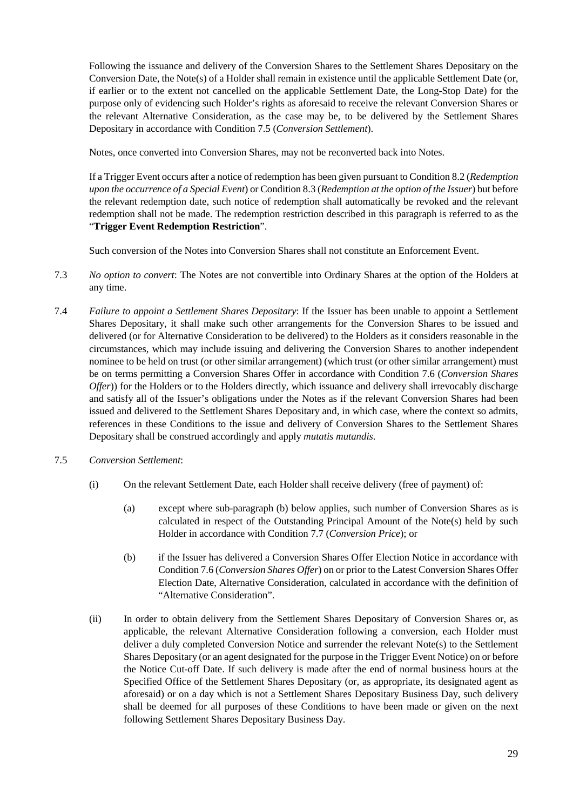Following the issuance and delivery of the Conversion Shares to the Settlement Shares Depositary on the Conversion Date, the Note(s) of a Holder shall remain in existence until the applicable Settlement Date (or, if earlier or to the extent not cancelled on the applicable Settlement Date, the Long-Stop Date) for the purpose only of evidencing such Holder's rights as aforesaid to receive the relevant Conversion Shares or the relevant Alternative Consideration, as the case may be, to be delivered by the Settlement Shares Depositary in accordance with Condition 7.5 (*Conversion Settlement*).

Notes, once converted into Conversion Shares, may not be reconverted back into Notes.

If a Trigger Event occurs after a notice of redemption has been given pursuant to Condition 8.2 (*Redemption upon the occurrence of a Special Event*) or Condition 8.3 (*Redemption at the option of the Issuer*) but before the relevant redemption date, such notice of redemption shall automatically be revoked and the relevant redemption shall not be made. The redemption restriction described in this paragraph is referred to as the "**Trigger Event Redemption Restriction**".

Such conversion of the Notes into Conversion Shares shall not constitute an Enforcement Event.

- 7.3 *No option to convert*: The Notes are not convertible into Ordinary Shares at the option of the Holders at any time.
- 7.4 *Failure to appoint a Settlement Shares Depositary*: If the Issuer has been unable to appoint a Settlement Shares Depositary, it shall make such other arrangements for the Conversion Shares to be issued and delivered (or for Alternative Consideration to be delivered) to the Holders as it considers reasonable in the circumstances, which may include issuing and delivering the Conversion Shares to another independent nominee to be held on trust (or other similar arrangement) (which trust (or other similar arrangement) must be on terms permitting a Conversion Shares Offer in accordance with Condition 7.6 (*Conversion Shares Offer*)) for the Holders or to the Holders directly, which issuance and delivery shall irrevocably discharge and satisfy all of the Issuer's obligations under the Notes as if the relevant Conversion Shares had been issued and delivered to the Settlement Shares Depositary and, in which case, where the context so admits, references in these Conditions to the issue and delivery of Conversion Shares to the Settlement Shares Depositary shall be construed accordingly and apply *mutatis mutandis*.
- 7.5 *Conversion Settlement*:
	- (i) On the relevant Settlement Date, each Holder shall receive delivery (free of payment) of:
		- (a) except where sub-paragraph (b) below applies, such number of Conversion Shares as is calculated in respect of the Outstanding Principal Amount of the Note(s) held by such Holder in accordance with Condition 7.7 (*Conversion Price*); or
		- (b) if the Issuer has delivered a Conversion Shares Offer Election Notice in accordance with Condition 7.6 (*Conversion Shares Offer*) on or prior to the Latest Conversion Shares Offer Election Date, Alternative Consideration, calculated in accordance with the definition of "Alternative Consideration".
	- (ii) In order to obtain delivery from the Settlement Shares Depositary of Conversion Shares or, as applicable, the relevant Alternative Consideration following a conversion, each Holder must deliver a duly completed Conversion Notice and surrender the relevant Note(s) to the Settlement Shares Depositary (or an agent designated for the purpose in the Trigger Event Notice) on or before the Notice Cut-off Date. If such delivery is made after the end of normal business hours at the Specified Office of the Settlement Shares Depositary (or, as appropriate, its designated agent as aforesaid) or on a day which is not a Settlement Shares Depositary Business Day, such delivery shall be deemed for all purposes of these Conditions to have been made or given on the next following Settlement Shares Depositary Business Day.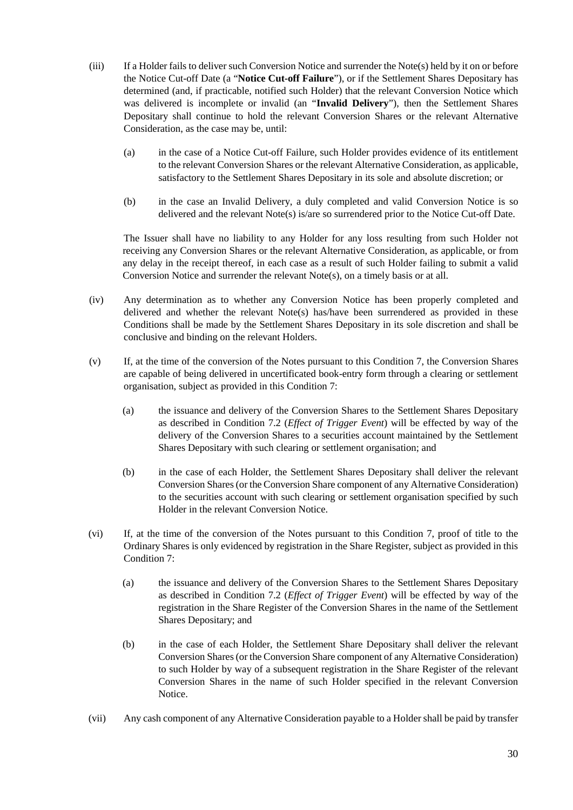- (iii) If a Holder fails to deliver such Conversion Notice and surrender the Note(s) held by it on or before the Notice Cut-off Date (a "**Notice Cut-off Failure**"), or if the Settlement Shares Depositary has determined (and, if practicable, notified such Holder) that the relevant Conversion Notice which was delivered is incomplete or invalid (an "**Invalid Delivery**"), then the Settlement Shares Depositary shall continue to hold the relevant Conversion Shares or the relevant Alternative Consideration, as the case may be, until:
	- (a) in the case of a Notice Cut-off Failure, such Holder provides evidence of its entitlement to the relevant Conversion Shares or the relevant Alternative Consideration, as applicable, satisfactory to the Settlement Shares Depositary in its sole and absolute discretion; or
	- (b) in the case an Invalid Delivery, a duly completed and valid Conversion Notice is so delivered and the relevant Note(s) is/are so surrendered prior to the Notice Cut-off Date.

The Issuer shall have no liability to any Holder for any loss resulting from such Holder not receiving any Conversion Shares or the relevant Alternative Consideration, as applicable, or from any delay in the receipt thereof, in each case as a result of such Holder failing to submit a valid Conversion Notice and surrender the relevant Note(s), on a timely basis or at all.

- (iv) Any determination as to whether any Conversion Notice has been properly completed and delivered and whether the relevant Note(s) has/have been surrendered as provided in these Conditions shall be made by the Settlement Shares Depositary in its sole discretion and shall be conclusive and binding on the relevant Holders.
- (v) If, at the time of the conversion of the Notes pursuant to this Condition 7, the Conversion Shares are capable of being delivered in uncertificated book-entry form through a clearing or settlement organisation, subject as provided in this Condition 7:
	- (a) the issuance and delivery of the Conversion Shares to the Settlement Shares Depositary as described in Condition 7.2 (*Effect of Trigger Event*) will be effected by way of the delivery of the Conversion Shares to a securities account maintained by the Settlement Shares Depositary with such clearing or settlement organisation; and
	- (b) in the case of each Holder, the Settlement Shares Depositary shall deliver the relevant Conversion Shares (or the Conversion Share component of any Alternative Consideration) to the securities account with such clearing or settlement organisation specified by such Holder in the relevant Conversion Notice.
- (vi) If, at the time of the conversion of the Notes pursuant to this Condition 7, proof of title to the Ordinary Shares is only evidenced by registration in the Share Register, subject as provided in this Condition 7:
	- (a) the issuance and delivery of the Conversion Shares to the Settlement Shares Depositary as described in Condition 7.2 (*Effect of Trigger Event*) will be effected by way of the registration in the Share Register of the Conversion Shares in the name of the Settlement Shares Depositary; and
	- (b) in the case of each Holder, the Settlement Share Depositary shall deliver the relevant Conversion Shares (or the Conversion Share component of any Alternative Consideration) to such Holder by way of a subsequent registration in the Share Register of the relevant Conversion Shares in the name of such Holder specified in the relevant Conversion Notice.
- (vii) Any cash component of any Alternative Consideration payable to a Holder shall be paid by transfer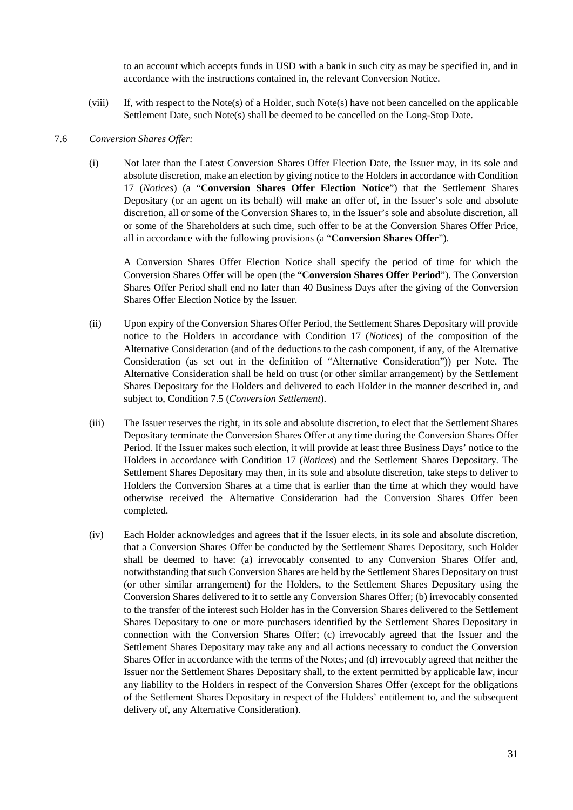to an account which accepts funds in USD with a bank in such city as may be specified in, and in accordance with the instructions contained in, the relevant Conversion Notice.

(viii) If, with respect to the Note(s) of a Holder, such Note(s) have not been cancelled on the applicable Settlement Date, such Note(s) shall be deemed to be cancelled on the Long-Stop Date.

#### 7.6 *Conversion Shares Offer:*

(i) Not later than the Latest Conversion Shares Offer Election Date, the Issuer may, in its sole and absolute discretion, make an election by giving notice to the Holders in accordance with Condition 17 (*Notices*) (a "**Conversion Shares Offer Election Notice**") that the Settlement Shares Depositary (or an agent on its behalf) will make an offer of, in the Issuer's sole and absolute discretion, all or some of the Conversion Shares to, in the Issuer's sole and absolute discretion, all or some of the Shareholders at such time, such offer to be at the Conversion Shares Offer Price, all in accordance with the following provisions (a "**Conversion Shares Offer**").

A Conversion Shares Offer Election Notice shall specify the period of time for which the Conversion Shares Offer will be open (the "**Conversion Shares Offer Period**"). The Conversion Shares Offer Period shall end no later than 40 Business Days after the giving of the Conversion Shares Offer Election Notice by the Issuer.

- (ii) Upon expiry of the Conversion Shares Offer Period, the Settlement Shares Depositary will provide notice to the Holders in accordance with Condition 17 (*Notices*) of the composition of the Alternative Consideration (and of the deductions to the cash component, if any, of the Alternative Consideration (as set out in the definition of "Alternative Consideration")) per Note. The Alternative Consideration shall be held on trust (or other similar arrangement) by the Settlement Shares Depositary for the Holders and delivered to each Holder in the manner described in, and subject to, Condition 7.5 (*Conversion Settlement*).
- (iii) The Issuer reserves the right, in its sole and absolute discretion, to elect that the Settlement Shares Depositary terminate the Conversion Shares Offer at any time during the Conversion Shares Offer Period. If the Issuer makes such election, it will provide at least three Business Days' notice to the Holders in accordance with Condition 17 (*Notices*) and the Settlement Shares Depositary. The Settlement Shares Depositary may then, in its sole and absolute discretion, take steps to deliver to Holders the Conversion Shares at a time that is earlier than the time at which they would have otherwise received the Alternative Consideration had the Conversion Shares Offer been completed.
- (iv) Each Holder acknowledges and agrees that if the Issuer elects, in its sole and absolute discretion, that a Conversion Shares Offer be conducted by the Settlement Shares Depositary, such Holder shall be deemed to have: (a) irrevocably consented to any Conversion Shares Offer and, notwithstanding that such Conversion Shares are held by the Settlement Shares Depositary on trust (or other similar arrangement) for the Holders, to the Settlement Shares Depositary using the Conversion Shares delivered to it to settle any Conversion Shares Offer; (b) irrevocably consented to the transfer of the interest such Holder has in the Conversion Shares delivered to the Settlement Shares Depositary to one or more purchasers identified by the Settlement Shares Depositary in connection with the Conversion Shares Offer; (c) irrevocably agreed that the Issuer and the Settlement Shares Depositary may take any and all actions necessary to conduct the Conversion Shares Offer in accordance with the terms of the Notes; and (d) irrevocably agreed that neither the Issuer nor the Settlement Shares Depositary shall, to the extent permitted by applicable law, incur any liability to the Holders in respect of the Conversion Shares Offer (except for the obligations of the Settlement Shares Depositary in respect of the Holders' entitlement to, and the subsequent delivery of, any Alternative Consideration).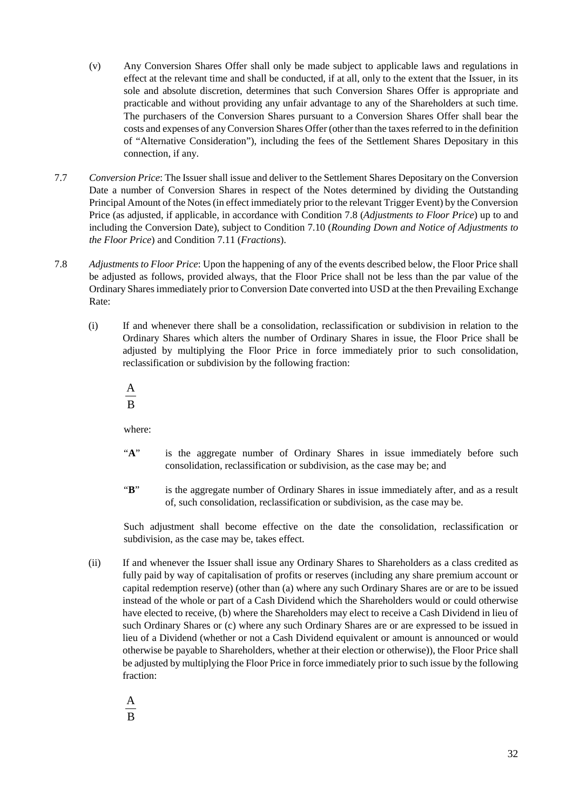- (v) Any Conversion Shares Offer shall only be made subject to applicable laws and regulations in effect at the relevant time and shall be conducted, if at all, only to the extent that the Issuer, in its sole and absolute discretion, determines that such Conversion Shares Offer is appropriate and practicable and without providing any unfair advantage to any of the Shareholders at such time. The purchasers of the Conversion Shares pursuant to a Conversion Shares Offer shall bear the costs and expenses of any Conversion Shares Offer (other than the taxes referred to in the definition of "Alternative Consideration"), including the fees of the Settlement Shares Depositary in this connection, if any.
- 7.7 *Conversion Price*: The Issuer shall issue and deliver to the Settlement Shares Depositary on the Conversion Date a number of Conversion Shares in respect of the Notes determined by dividing the Outstanding Principal Amount of the Notes (in effect immediately prior to the relevant Trigger Event) by the Conversion Price (as adjusted, if applicable, in accordance with Condition 7.8 (*Adjustments to Floor Price*) up to and including the Conversion Date), subject to Condition 7.10 (*Rounding Down and Notice of Adjustments to the Floor Price*) and Condition 7.11 (*Fractions*).
- 7.8 *Adjustments to Floor Price*: Upon the happening of any of the events described below, the Floor Price shall be adjusted as follows, provided always, that the Floor Price shall not be less than the par value of the Ordinary Shares immediately prior to Conversion Date converted into USD at the then Prevailing Exchange Rate:
	- (i) If and whenever there shall be a consolidation, reclassification or subdivision in relation to the Ordinary Shares which alters the number of Ordinary Shares in issue, the Floor Price shall be adjusted by multiplying the Floor Price in force immediately prior to such consolidation, reclassification or subdivision by the following fraction:

 $\overline{R}$ A

where:

- "A" is the aggregate number of Ordinary Shares in issue immediately before such consolidation, reclassification or subdivision, as the case may be; and
- "**B**" is the aggregate number of Ordinary Shares in issue immediately after, and as a result of, such consolidation, reclassification or subdivision, as the case may be.

Such adjustment shall become effective on the date the consolidation, reclassification or subdivision, as the case may be, takes effect.

(ii) If and whenever the Issuer shall issue any Ordinary Shares to Shareholders as a class credited as fully paid by way of capitalisation of profits or reserves (including any share premium account or capital redemption reserve) (other than (a) where any such Ordinary Shares are or are to be issued instead of the whole or part of a Cash Dividend which the Shareholders would or could otherwise have elected to receive, (b) where the Shareholders may elect to receive a Cash Dividend in lieu of such Ordinary Shares or (c) where any such Ordinary Shares are or are expressed to be issued in lieu of a Dividend (whether or not a Cash Dividend equivalent or amount is announced or would otherwise be payable to Shareholders, whether at their election or otherwise)), the Floor Price shall be adjusted by multiplying the Floor Price in force immediately prior to such issue by the following fraction: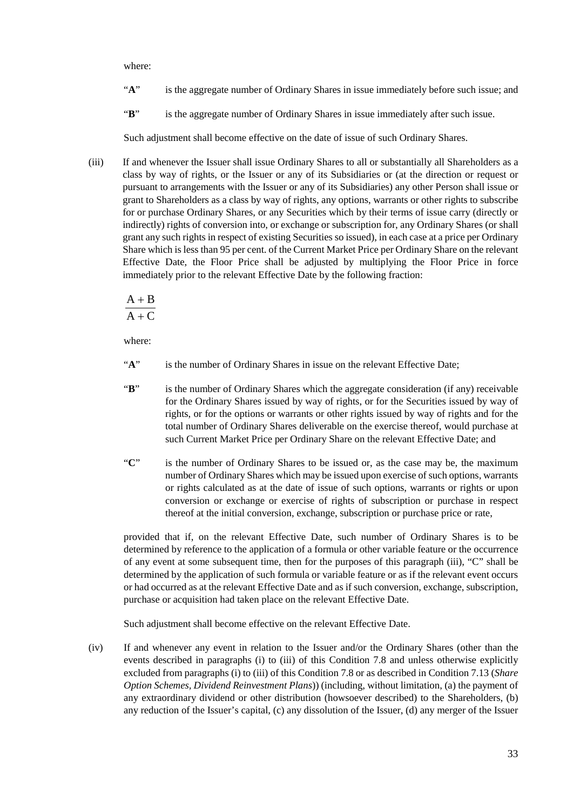where:

- "**A**" is the aggregate number of Ordinary Shares in issue immediately before such issue; and
- "**B**" is the aggregate number of Ordinary Shares in issue immediately after such issue.

Such adjustment shall become effective on the date of issue of such Ordinary Shares.

(iii) If and whenever the Issuer shall issue Ordinary Shares to all or substantially all Shareholders as a class by way of rights, or the Issuer or any of its Subsidiaries or (at the direction or request or pursuant to arrangements with the Issuer or any of its Subsidiaries) any other Person shall issue or grant to Shareholders as a class by way of rights, any options, warrants or other rights to subscribe for or purchase Ordinary Shares, or any Securities which by their terms of issue carry (directly or indirectly) rights of conversion into, or exchange or subscription for, any Ordinary Shares (or shall grant any such rights in respect of existing Securities so issued), in each case at a price per Ordinary Share which is less than 95 per cent. of the Current Market Price per Ordinary Share on the relevant Effective Date, the Floor Price shall be adjusted by multiplying the Floor Price in force immediately prior to the relevant Effective Date by the following fraction:

 $A + C$  $A + B$ 

where:

- "A" is the number of Ordinary Shares in issue on the relevant Effective Date;
- "**B**" is the number of Ordinary Shares which the aggregate consideration (if any) receivable for the Ordinary Shares issued by way of rights, or for the Securities issued by way of rights, or for the options or warrants or other rights issued by way of rights and for the total number of Ordinary Shares deliverable on the exercise thereof, would purchase at such Current Market Price per Ordinary Share on the relevant Effective Date; and
- "**C**" is the number of Ordinary Shares to be issued or, as the case may be, the maximum number of Ordinary Shares which may be issued upon exercise of such options, warrants or rights calculated as at the date of issue of such options, warrants or rights or upon conversion or exchange or exercise of rights of subscription or purchase in respect thereof at the initial conversion, exchange, subscription or purchase price or rate,

provided that if, on the relevant Effective Date, such number of Ordinary Shares is to be determined by reference to the application of a formula or other variable feature or the occurrence of any event at some subsequent time, then for the purposes of this paragraph (iii), "C" shall be determined by the application of such formula or variable feature or as if the relevant event occurs or had occurred as at the relevant Effective Date and as if such conversion, exchange, subscription, purchase or acquisition had taken place on the relevant Effective Date.

Such adjustment shall become effective on the relevant Effective Date.

(iv) If and whenever any event in relation to the Issuer and/or the Ordinary Shares (other than the events described in paragraphs (i) to (iii) of this Condition 7.8 and unless otherwise explicitly excluded from paragraphs (i) to (iii) of this Condition 7.8 or as described in Condition 7.13 (*Share Option Schemes, Dividend Reinvestment Plans*)) (including, without limitation, (a) the payment of any extraordinary dividend or other distribution (howsoever described) to the Shareholders, (b) any reduction of the Issuer's capital, (c) any dissolution of the Issuer, (d) any merger of the Issuer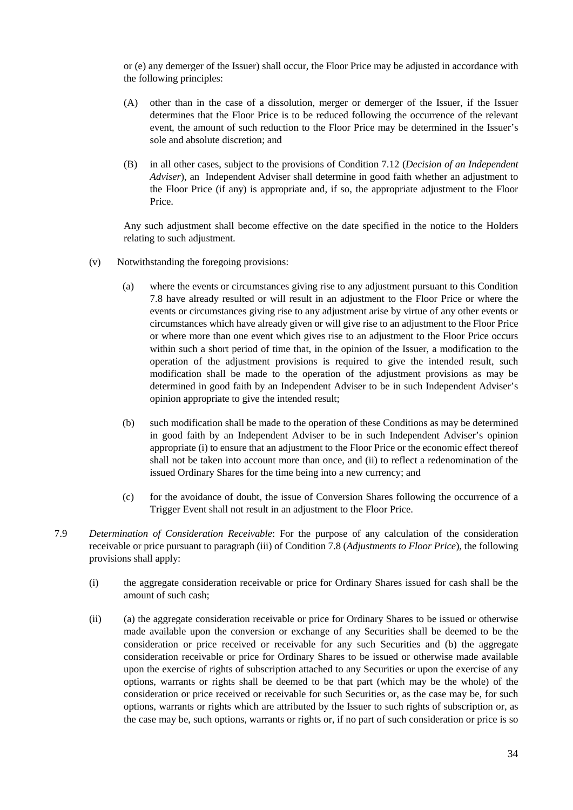or (e) any demerger of the Issuer) shall occur, the Floor Price may be adjusted in accordance with the following principles:

- (A) other than in the case of a dissolution, merger or demerger of the Issuer, if the Issuer determines that the Floor Price is to be reduced following the occurrence of the relevant event, the amount of such reduction to the Floor Price may be determined in the Issuer's sole and absolute discretion; and
- (B) in all other cases, subject to the provisions of Condition 7.12 (*Decision of an Independent Adviser*), an Independent Adviser shall determine in good faith whether an adjustment to the Floor Price (if any) is appropriate and, if so, the appropriate adjustment to the Floor Price.

Any such adjustment shall become effective on the date specified in the notice to the Holders relating to such adjustment.

- (v) Notwithstanding the foregoing provisions:
	- (a) where the events or circumstances giving rise to any adjustment pursuant to this Condition 7.8 have already resulted or will result in an adjustment to the Floor Price or where the events or circumstances giving rise to any adjustment arise by virtue of any other events or circumstances which have already given or will give rise to an adjustment to the Floor Price or where more than one event which gives rise to an adjustment to the Floor Price occurs within such a short period of time that, in the opinion of the Issuer, a modification to the operation of the adjustment provisions is required to give the intended result, such modification shall be made to the operation of the adjustment provisions as may be determined in good faith by an Independent Adviser to be in such Independent Adviser's opinion appropriate to give the intended result;
	- (b) such modification shall be made to the operation of these Conditions as may be determined in good faith by an Independent Adviser to be in such Independent Adviser's opinion appropriate (i) to ensure that an adjustment to the Floor Price or the economic effect thereof shall not be taken into account more than once, and (ii) to reflect a redenomination of the issued Ordinary Shares for the time being into a new currency; and
	- (c) for the avoidance of doubt, the issue of Conversion Shares following the occurrence of a Trigger Event shall not result in an adjustment to the Floor Price.
- 7.9 *Determination of Consideration Receivable*: For the purpose of any calculation of the consideration receivable or price pursuant to paragraph (iii) of Condition 7.8 (*Adjustments to Floor Price*), the following provisions shall apply:
	- (i) the aggregate consideration receivable or price for Ordinary Shares issued for cash shall be the amount of such cash;
	- (ii) (a) the aggregate consideration receivable or price for Ordinary Shares to be issued or otherwise made available upon the conversion or exchange of any Securities shall be deemed to be the consideration or price received or receivable for any such Securities and (b) the aggregate consideration receivable or price for Ordinary Shares to be issued or otherwise made available upon the exercise of rights of subscription attached to any Securities or upon the exercise of any options, warrants or rights shall be deemed to be that part (which may be the whole) of the consideration or price received or receivable for such Securities or, as the case may be, for such options, warrants or rights which are attributed by the Issuer to such rights of subscription or, as the case may be, such options, warrants or rights or, if no part of such consideration or price is so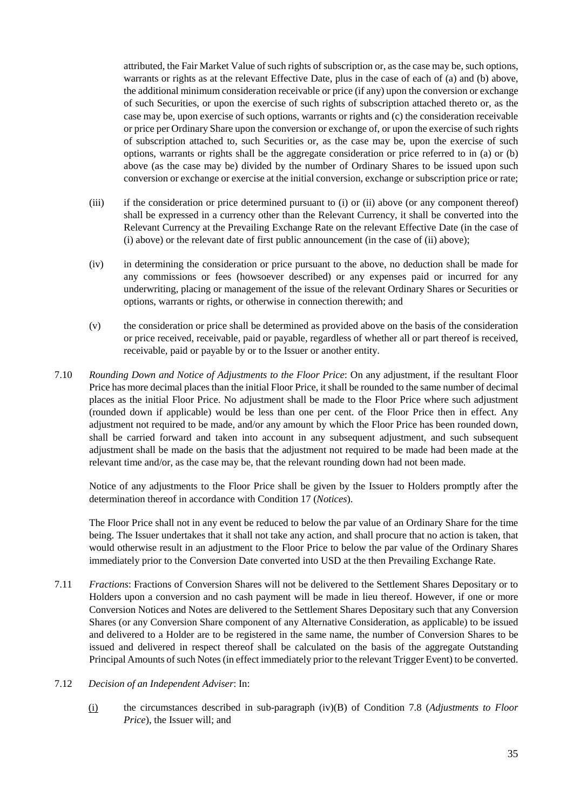attributed, the Fair Market Value of such rights of subscription or, as the case may be, such options, warrants or rights as at the relevant Effective Date, plus in the case of each of (a) and (b) above, the additional minimum consideration receivable or price (if any) upon the conversion or exchange of such Securities, or upon the exercise of such rights of subscription attached thereto or, as the case may be, upon exercise of such options, warrants or rights and (c) the consideration receivable or price per Ordinary Share upon the conversion or exchange of, or upon the exercise of such rights of subscription attached to, such Securities or, as the case may be, upon the exercise of such options, warrants or rights shall be the aggregate consideration or price referred to in (a) or (b) above (as the case may be) divided by the number of Ordinary Shares to be issued upon such conversion or exchange or exercise at the initial conversion, exchange or subscription price or rate;

- (iii) if the consideration or price determined pursuant to (i) or (ii) above (or any component thereof) shall be expressed in a currency other than the Relevant Currency, it shall be converted into the Relevant Currency at the Prevailing Exchange Rate on the relevant Effective Date (in the case of (i) above) or the relevant date of first public announcement (in the case of (ii) above);
- (iv) in determining the consideration or price pursuant to the above, no deduction shall be made for any commissions or fees (howsoever described) or any expenses paid or incurred for any underwriting, placing or management of the issue of the relevant Ordinary Shares or Securities or options, warrants or rights, or otherwise in connection therewith; and
- (v) the consideration or price shall be determined as provided above on the basis of the consideration or price received, receivable, paid or payable, regardless of whether all or part thereof is received, receivable, paid or payable by or to the Issuer or another entity.
- 7.10 *Rounding Down and Notice of Adjustments to the Floor Price*: On any adjustment, if the resultant Floor Price has more decimal places than the initial Floor Price, it shall be rounded to the same number of decimal places as the initial Floor Price. No adjustment shall be made to the Floor Price where such adjustment (rounded down if applicable) would be less than one per cent. of the Floor Price then in effect. Any adjustment not required to be made, and/or any amount by which the Floor Price has been rounded down, shall be carried forward and taken into account in any subsequent adjustment, and such subsequent adjustment shall be made on the basis that the adjustment not required to be made had been made at the relevant time and/or, as the case may be, that the relevant rounding down had not been made.

Notice of any adjustments to the Floor Price shall be given by the Issuer to Holders promptly after the determination thereof in accordance with Condition 17 (*Notices*).

The Floor Price shall not in any event be reduced to below the par value of an Ordinary Share for the time being. The Issuer undertakes that it shall not take any action, and shall procure that no action is taken, that would otherwise result in an adjustment to the Floor Price to below the par value of the Ordinary Shares immediately prior to the Conversion Date converted into USD at the then Prevailing Exchange Rate.

- 7.11 *Fractions*: Fractions of Conversion Shares will not be delivered to the Settlement Shares Depositary or to Holders upon a conversion and no cash payment will be made in lieu thereof. However, if one or more Conversion Notices and Notes are delivered to the Settlement Shares Depositary such that any Conversion Shares (or any Conversion Share component of any Alternative Consideration, as applicable) to be issued and delivered to a Holder are to be registered in the same name, the number of Conversion Shares to be issued and delivered in respect thereof shall be calculated on the basis of the aggregate Outstanding Principal Amounts of such Notes (in effect immediately prior to the relevant Trigger Event) to be converted.
- 7.12 *Decision of an Independent Adviser*: In:
	- (i) the circumstances described in sub-paragraph (iv)(B) of Condition 7.8 (*Adjustments to Floor Price*), the Issuer will; and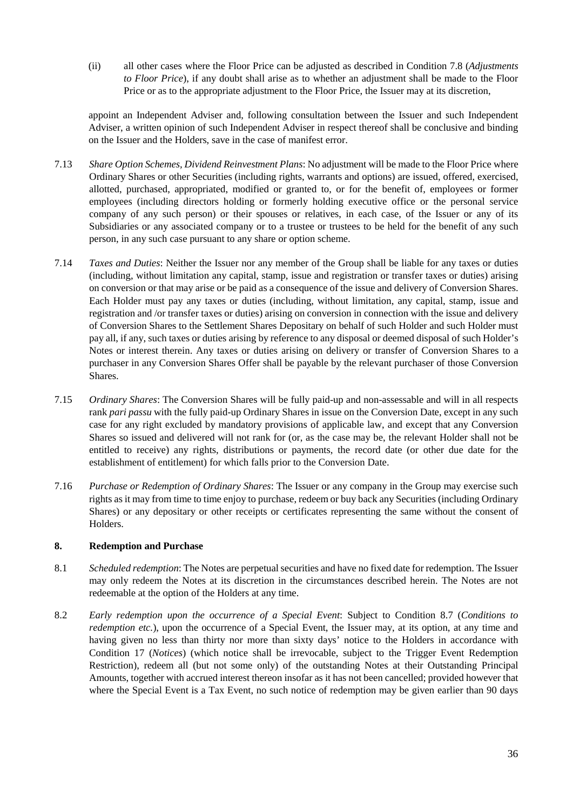(ii) all other cases where the Floor Price can be adjusted as described in Condition 7.8 (*Adjustments to Floor Price*), if any doubt shall arise as to whether an adjustment shall be made to the Floor Price or as to the appropriate adjustment to the Floor Price, the Issuer may at its discretion,

appoint an Independent Adviser and, following consultation between the Issuer and such Independent Adviser, a written opinion of such Independent Adviser in respect thereof shall be conclusive and binding on the Issuer and the Holders, save in the case of manifest error.

- 7.13 *Share Option Schemes, Dividend Reinvestment Plans*: No adjustment will be made to the Floor Price where Ordinary Shares or other Securities (including rights, warrants and options) are issued, offered, exercised, allotted, purchased, appropriated, modified or granted to, or for the benefit of, employees or former employees (including directors holding or formerly holding executive office or the personal service company of any such person) or their spouses or relatives, in each case, of the Issuer or any of its Subsidiaries or any associated company or to a trustee or trustees to be held for the benefit of any such person, in any such case pursuant to any share or option scheme.
- 7.14 *Taxes and Duties*: Neither the Issuer nor any member of the Group shall be liable for any taxes or duties (including, without limitation any capital, stamp, issue and registration or transfer taxes or duties) arising on conversion or that may arise or be paid as a consequence of the issue and delivery of Conversion Shares. Each Holder must pay any taxes or duties (including, without limitation, any capital, stamp, issue and registration and /or transfer taxes or duties) arising on conversion in connection with the issue and delivery of Conversion Shares to the Settlement Shares Depositary on behalf of such Holder and such Holder must pay all, if any, such taxes or duties arising by reference to any disposal or deemed disposal of such Holder's Notes or interest therein. Any taxes or duties arising on delivery or transfer of Conversion Shares to a purchaser in any Conversion Shares Offer shall be payable by the relevant purchaser of those Conversion Shares.
- 7.15 *Ordinary Shares*: The Conversion Shares will be fully paid-up and non-assessable and will in all respects rank *pari passu* with the fully paid-up Ordinary Shares in issue on the Conversion Date, except in any such case for any right excluded by mandatory provisions of applicable law, and except that any Conversion Shares so issued and delivered will not rank for (or, as the case may be, the relevant Holder shall not be entitled to receive) any rights, distributions or payments, the record date (or other due date for the establishment of entitlement) for which falls prior to the Conversion Date.
- 7.16 *Purchase or Redemption of Ordinary Shares*: The Issuer or any company in the Group may exercise such rights as it may from time to time enjoy to purchase, redeem or buy back any Securities (including Ordinary Shares) or any depositary or other receipts or certificates representing the same without the consent of Holders.

#### **8. Redemption and Purchase**

- 8.1 *Scheduled redemption*: The Notes are perpetual securities and have no fixed date for redemption. The Issuer may only redeem the Notes at its discretion in the circumstances described herein. The Notes are not redeemable at the option of the Holders at any time.
- 8.2 *Early redemption upon the occurrence of a Special Event*: Subject to Condition 8.7 (*Conditions to redemption etc.*), upon the occurrence of a Special Event, the Issuer may, at its option, at any time and having given no less than thirty nor more than sixty days' notice to the Holders in accordance with Condition 17 (*Notices*) (which notice shall be irrevocable, subject to the Trigger Event Redemption Restriction), redeem all (but not some only) of the outstanding Notes at their Outstanding Principal Amounts, together with accrued interest thereon insofar as it has not been cancelled; provided however that where the Special Event is a Tax Event, no such notice of redemption may be given earlier than 90 days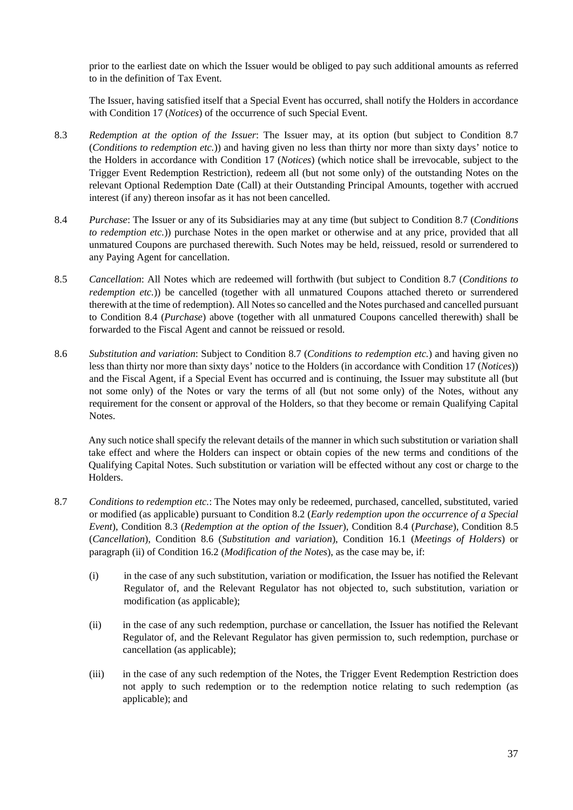prior to the earliest date on which the Issuer would be obliged to pay such additional amounts as referred to in the definition of Tax Event.

The Issuer, having satisfied itself that a Special Event has occurred, shall notify the Holders in accordance with Conditio[n 17](#page-41-0) (*Notices*) of the occurrence of such Special Event.

- 8.3 *Redemption at the option of the Issuer*: The Issuer may, at its option (but subject to Condition [8.7](#page-36-1) (*Conditions to redemption etc.*)) and having given no less than thirty nor more than sixty days' notice to the Holders in accordance with Condition [17](#page-41-0) (*Notices*) (which notice shall be irrevocable, subject to the Trigger Event Redemption Restriction), redeem all (but not some only) of the outstanding Notes on the relevant Optional Redemption Date (Call) at their Outstanding Principal Amounts, together with accrued interest (if any) thereon insofar as it has not been cancelled.
- 8.4 *Purchase*: The Issuer or any of its Subsidiaries may at any time (but subject to Condition [8.7](#page-36-1) (*Conditions to redemption etc.*)) purchase Notes in the open market or otherwise and at any price, provided that all unmatured Coupons are purchased therewith. Such Notes may be held, reissued, resold or surrendered to any Paying Agent for cancellation.
- <span id="page-36-2"></span>8.5 *Cancellation*: All Notes which are redeemed will forthwith (but subject to Condition [8.7](#page-36-1) (*Conditions to redemption etc.*)) be cancelled (together with all unmatured Coupons attached thereto or surrendered therewith at the time of redemption). All Notes so cancelled and the Notes purchased and cancelled pursuant to Condition 8.4 (*Purchase*) above (together with all unmatured Coupons cancelled therewith) shall be forwarded to the Fiscal Agent and cannot be reissued or resold.
- <span id="page-36-0"></span>8.6 *Substitution and variation*: Subject to Condition 8.7 (*Conditions to redemption etc.*) and having given no less than thirty nor more than sixty days' notice to the Holders (in accordance with Conditio[n 17](#page-41-0) (*Notices*)) and the Fiscal Agent, if a Special Event has occurred and is continuing, the Issuer may substitute all (but not some only) of the Notes or vary the terms of all (but not some only) of the Notes, without any requirement for the consent or approval of the Holders, so that they become or remain Qualifying Capital Notes.

Any such notice shall specify the relevant details of the manner in which such substitution or variation shall take effect and where the Holders can inspect or obtain copies of the new terms and conditions of the Qualifying Capital Notes. Such substitution or variation will be effected without any cost or charge to the Holders.

- <span id="page-36-1"></span>8.7 *Conditions to redemption etc.*: The Notes may only be redeemed, purchased, cancelled, substituted, varied or modified (as applicable) pursuant to Condition 8.2 (*Early redemption upon the occurrence of a Special Event*), Condition 8.3 (*Redemption at the option of the Issuer*), Condition 8.4 (*Purchase*), Condition [8.5](#page-36-2) (*Cancellation*), Condition [8.6](#page-36-0) (*Substitution and variation*), Condition 16.1 (*Meetings of Holders*) or paragraph (ii) of Condition 16.2 (*Modification of the Notes*), as the case may be, if:
	- (i) in the case of any such substitution, variation or modification, the Issuer has notified the Relevant Regulator of, and the Relevant Regulator has not objected to, such substitution, variation or modification (as applicable);
	- (ii) in the case of any such redemption, purchase or cancellation, the Issuer has notified the Relevant Regulator of, and the Relevant Regulator has given permission to, such redemption, purchase or cancellation (as applicable);
	- (iii) in the case of any such redemption of the Notes, the Trigger Event Redemption Restriction does not apply to such redemption or to the redemption notice relating to such redemption (as applicable); and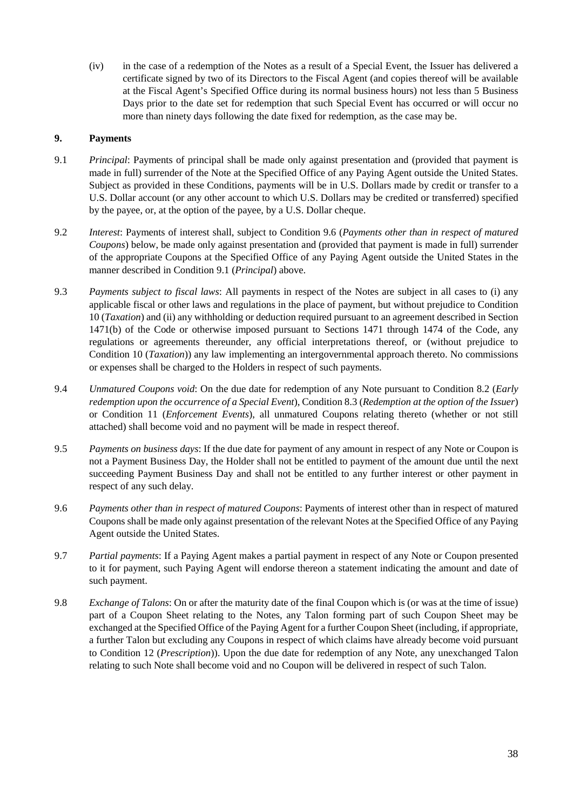(iv) in the case of a redemption of the Notes as a result of a Special Event, the Issuer has delivered a certificate signed by two of its Directors to the Fiscal Agent (and copies thereof will be available at the Fiscal Agent's Specified Office during its normal business hours) not less than 5 Business Days prior to the date set for redemption that such Special Event has occurred or will occur no more than ninety days following the date fixed for redemption, as the case may be.

### **9. Payments**

- 9.1 *Principal*: Payments of principal shall be made only against presentation and (provided that payment is made in full) surrender of the Note at the Specified Office of any Paying Agent outside the United States. Subject as provided in these Conditions, payments will be in U.S. Dollars made by credit or transfer to a U.S. Dollar account (or any other account to which U.S. Dollars may be credited or transferred) specified by the payee, or, at the option of the payee, by a U.S. Dollar cheque.
- 9.2 *Interest*: Payments of interest shall, subject to Condition [9.6](#page-37-0) (*Payments other than in respect of matured Coupons*) below, be made only against presentation and (provided that payment is made in full) surrender of the appropriate Coupons at the Specified Office of any Paying Agent outside the United States in the manner described in Condition 9.1 (*Principal*) above.
- 9.3 *Payments subject to fiscal laws*: All payments in respect of the Notes are subject in all cases to (i) any applicable fiscal or other laws and regulations in the place of payment, but without prejudice to Condition 10 (*Taxation*) and (ii) any withholding or deduction required pursuant to an agreement described in Section 1471(b) of the Code or otherwise imposed pursuant to Sections 1471 through 1474 of the Code, any regulations or agreements thereunder, any official interpretations thereof, or (without prejudice to Condition 10 (*Taxation*)) any law implementing an intergovernmental approach thereto. No commissions or expenses shall be charged to the Holders in respect of such payments.
- 9.4 *Unmatured Coupons void*: On the due date for redemption of any Note pursuant to Condition 8.2 (*Early redemption upon the occurrence of a Special Event*), Condition 8.3 (*Redemption at the option of the Issuer*) or Condition 11 (*Enforcement Events*), all unmatured Coupons relating thereto (whether or not still attached) shall become void and no payment will be made in respect thereof.
- 9.5 *Payments on business days*: If the due date for payment of any amount in respect of any Note or Coupon is not a Payment Business Day, the Holder shall not be entitled to payment of the amount due until the next succeeding Payment Business Day and shall not be entitled to any further interest or other payment in respect of any such delay.
- <span id="page-37-0"></span>9.6 *Payments other than in respect of matured Coupons*: Payments of interest other than in respect of matured Coupons shall be made only against presentation of the relevant Notes at the Specified Office of any Paying Agent outside the United States.
- 9.7 *Partial payments*: If a Paying Agent makes a partial payment in respect of any Note or Coupon presented to it for payment, such Paying Agent will endorse thereon a statement indicating the amount and date of such payment.
- 9.8 *Exchange of Talons*: On or after the maturity date of the final Coupon which is (or was at the time of issue) part of a Coupon Sheet relating to the Notes, any Talon forming part of such Coupon Sheet may be exchanged at the Specified Office of the Paying Agent for a further Coupon Sheet (including, if appropriate, a further Talon but excluding any Coupons in respect of which claims have already become void pursuant to Condition 12 (*Prescription*)). Upon the due date for redemption of any Note, any unexchanged Talon relating to such Note shall become void and no Coupon will be delivered in respect of such Talon.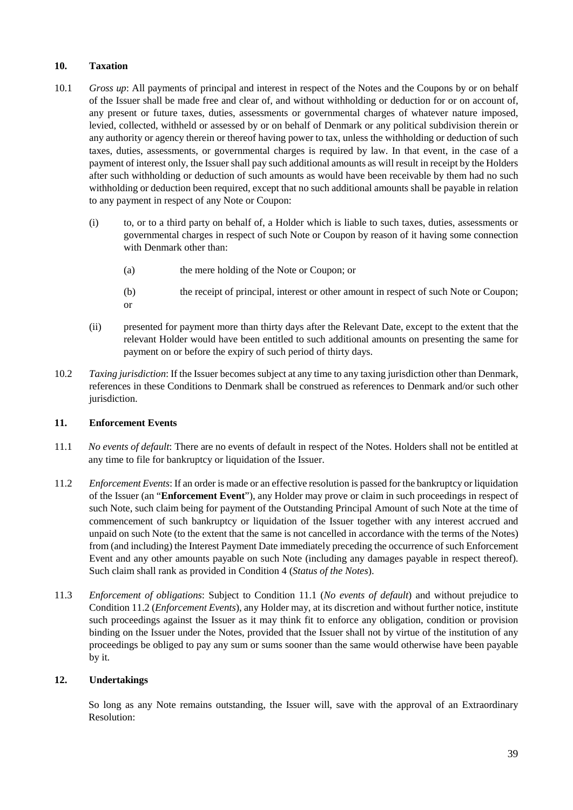#### **10. Taxation**

- 10.1 *Gross up*: All payments of principal and interest in respect of the Notes and the Coupons by or on behalf of the Issuer shall be made free and clear of, and without withholding or deduction for or on account of, any present or future taxes, duties, assessments or governmental charges of whatever nature imposed, levied, collected, withheld or assessed by or on behalf of Denmark or any political subdivision therein or any authority or agency therein or thereof having power to tax, unless the withholding or deduction of such taxes, duties, assessments, or governmental charges is required by law. In that event, in the case of a payment of interest only, the Issuer shall pay such additional amounts as will result in receipt by the Holders after such withholding or deduction of such amounts as would have been receivable by them had no such withholding or deduction been required, except that no such additional amounts shall be payable in relation to any payment in respect of any Note or Coupon:
	- (i) to, or to a third party on behalf of, a Holder which is liable to such taxes, duties, assessments or governmental charges in respect of such Note or Coupon by reason of it having some connection with Denmark other than:
		- (a) the mere holding of the Note or Coupon; or
		- (b) the receipt of principal, interest or other amount in respect of such Note or Coupon; or
	- (ii) presented for payment more than thirty days after the Relevant Date, except to the extent that the relevant Holder would have been entitled to such additional amounts on presenting the same for payment on or before the expiry of such period of thirty days.
- 10.2 *Taxing jurisdiction*: If the Issuer becomes subject at any time to any taxing jurisdiction other than Denmark, references in these Conditions to Denmark shall be construed as references to Denmark and/or such other jurisdiction.

#### **11. Enforcement Events**

- 11.1 *No events of default*: There are no events of default in respect of the Notes. Holders shall not be entitled at any time to file for bankruptcy or liquidation of the Issuer.
- 11.2 *Enforcement Events*: If an order is made or an effective resolution is passed for the bankruptcy or liquidation of the Issuer (an "**Enforcement Event**"), any Holder may prove or claim in such proceedings in respect of such Note, such claim being for payment of the Outstanding Principal Amount of such Note at the time of commencement of such bankruptcy or liquidation of the Issuer together with any interest accrued and unpaid on such Note (to the extent that the same is not cancelled in accordance with the terms of the Notes) from (and including) the Interest Payment Date immediately preceding the occurrence of such Enforcement Event and any other amounts payable on such Note (including any damages payable in respect thereof). Such claim shall rank as provided in Condition 4 (*Status of the Notes*).
- 11.3 *Enforcement of obligations*: Subject to Condition 11.1 (*No events of default*) and without prejudice to Condition 11.2 (*Enforcement Events*), any Holder may, at its discretion and without further notice, institute such proceedings against the Issuer as it may think fit to enforce any obligation, condition or provision binding on the Issuer under the Notes, provided that the Issuer shall not by virtue of the institution of any proceedings be obliged to pay any sum or sums sooner than the same would otherwise have been payable by it.

#### **12. Undertakings**

So long as any Note remains outstanding, the Issuer will, save with the approval of an Extraordinary Resolution: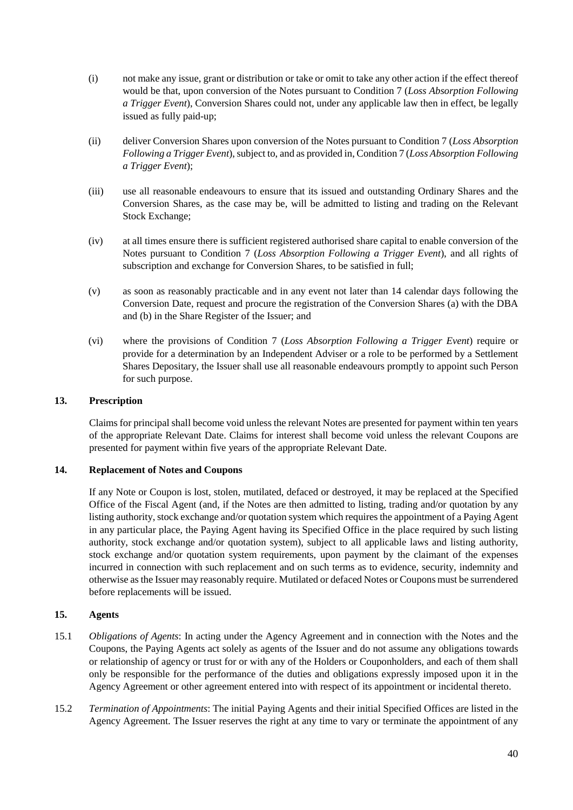- (i) not make any issue, grant or distribution or take or omit to take any other action if the effect thereof would be that, upon conversion of the Notes pursuant to Condition 7 (*Loss Absorption Following a Trigger Event*), Conversion Shares could not, under any applicable law then in effect, be legally issued as fully paid-up;
- (ii) deliver Conversion Shares upon conversion of the Notes pursuant to Condition 7 (*Loss Absorption Following a Trigger Event*), subject to, and as provided in, Condition 7 (*Loss Absorption Following a Trigger Event*);
- (iii) use all reasonable endeavours to ensure that its issued and outstanding Ordinary Shares and the Conversion Shares, as the case may be, will be admitted to listing and trading on the Relevant Stock Exchange;
- (iv) at all times ensure there is sufficient registered authorised share capital to enable conversion of the Notes pursuant to Condition 7 (*Loss Absorption Following a Trigger Event*), and all rights of subscription and exchange for Conversion Shares, to be satisfied in full;
- (v) as soon as reasonably practicable and in any event not later than 14 calendar days following the Conversion Date, request and procure the registration of the Conversion Shares (a) with the DBA and (b) in the Share Register of the Issuer; and
- (vi) where the provisions of Condition 7 (*Loss Absorption Following a Trigger Event*) require or provide for a determination by an Independent Adviser or a role to be performed by a Settlement Shares Depositary, the Issuer shall use all reasonable endeavours promptly to appoint such Person for such purpose.

### **13. Prescription**

Claims for principal shall become void unless the relevant Notes are presented for payment within ten years of the appropriate Relevant Date. Claims for interest shall become void unless the relevant Coupons are presented for payment within five years of the appropriate Relevant Date.

#### **14. Replacement of Notes and Coupons**

If any Note or Coupon is lost, stolen, mutilated, defaced or destroyed, it may be replaced at the Specified Office of the Fiscal Agent (and, if the Notes are then admitted to listing, trading and/or quotation by any listing authority, stock exchange and/or quotation system which requires the appointment of a Paying Agent in any particular place, the Paying Agent having its Specified Office in the place required by such listing authority, stock exchange and/or quotation system), subject to all applicable laws and listing authority, stock exchange and/or quotation system requirements, upon payment by the claimant of the expenses incurred in connection with such replacement and on such terms as to evidence, security, indemnity and otherwise as the Issuer may reasonably require. Mutilated or defaced Notes or Coupons must be surrendered before replacements will be issued.

#### **15. Agents**

- 15.1 *Obligations of Agents*: In acting under the Agency Agreement and in connection with the Notes and the Coupons, the Paying Agents act solely as agents of the Issuer and do not assume any obligations towards or relationship of agency or trust for or with any of the Holders or Couponholders, and each of them shall only be responsible for the performance of the duties and obligations expressly imposed upon it in the Agency Agreement or other agreement entered into with respect of its appointment or incidental thereto.
- 15.2 *Termination of Appointments*: The initial Paying Agents and their initial Specified Offices are listed in the Agency Agreement. The Issuer reserves the right at any time to vary or terminate the appointment of any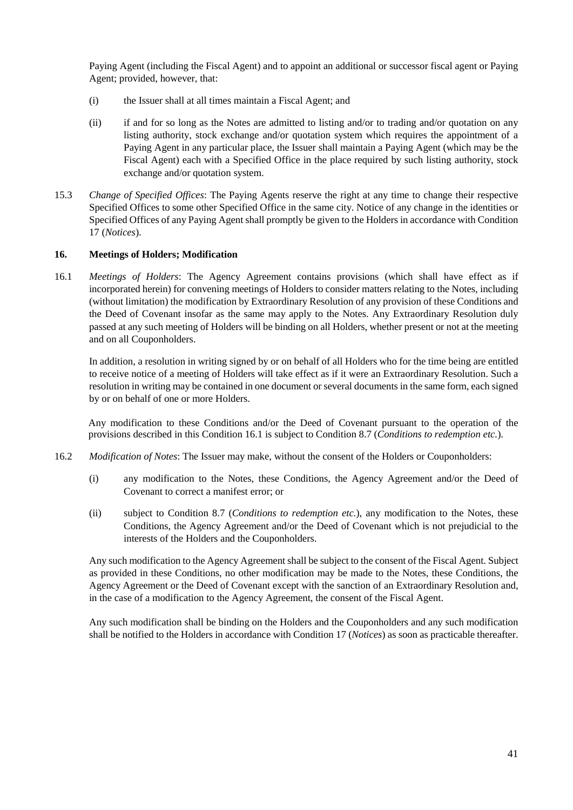Paying Agent (including the Fiscal Agent) and to appoint an additional or successor fiscal agent or Paying Agent; provided, however, that:

- (i) the Issuer shall at all times maintain a Fiscal Agent; and
- (ii) if and for so long as the Notes are admitted to listing and/or to trading and/or quotation on any listing authority, stock exchange and/or quotation system which requires the appointment of a Paying Agent in any particular place, the Issuer shall maintain a Paying Agent (which may be the Fiscal Agent) each with a Specified Office in the place required by such listing authority, stock exchange and/or quotation system.
- 15.3 *Change of Specified Offices*: The Paying Agents reserve the right at any time to change their respective Specified Offices to some other Specified Office in the same city. Notice of any change in the identities or Specified Offices of any Paying Agent shall promptly be given to the Holders in accordance with Condition [17](#page-41-0) (*Notices*).

### **16. Meetings of Holders; Modification**

16.1 *Meetings of Holders*: The Agency Agreement contains provisions (which shall have effect as if incorporated herein) for convening meetings of Holders to consider matters relating to the Notes, including (without limitation) the modification by Extraordinary Resolution of any provision of these Conditions and the Deed of Covenant insofar as the same may apply to the Notes. Any Extraordinary Resolution duly passed at any such meeting of Holders will be binding on all Holders, whether present or not at the meeting and on all Couponholders.

In addition, a resolution in writing signed by or on behalf of all Holders who for the time being are entitled to receive notice of a meeting of Holders will take effect as if it were an Extraordinary Resolution. Such a resolution in writing may be contained in one document or several documents in the same form, each signed by or on behalf of one or more Holders.

Any modification to these Conditions and/or the Deed of Covenant pursuant to the operation of the provisions described in this Condition 16.1 is subject to Condition 8.7 (*Conditions to redemption etc.*).

- 16.2 *Modification of Notes*: The Issuer may make, without the consent of the Holders or Couponholders:
	- (i) any modification to the Notes, these Conditions, the Agency Agreement and/or the Deed of Covenant to correct a manifest error; or
	- (ii) subject to Condition [8.7](#page-36-1) (*Conditions to redemption etc.*), any modification to the Notes, these Conditions, the Agency Agreement and/or the Deed of Covenant which is not prejudicial to the interests of the Holders and the Couponholders.

Any such modification to the Agency Agreement shall be subject to the consent of the Fiscal Agent. Subject as provided in these Conditions, no other modification may be made to the Notes, these Conditions, the Agency Agreement or the Deed of Covenant except with the sanction of an Extraordinary Resolution and, in the case of a modification to the Agency Agreement, the consent of the Fiscal Agent.

Any such modification shall be binding on the Holders and the Couponholders and any such modification shall be notified to the Holders in accordance with Condition [17](#page-41-0) (*Notices*) as soon as practicable thereafter.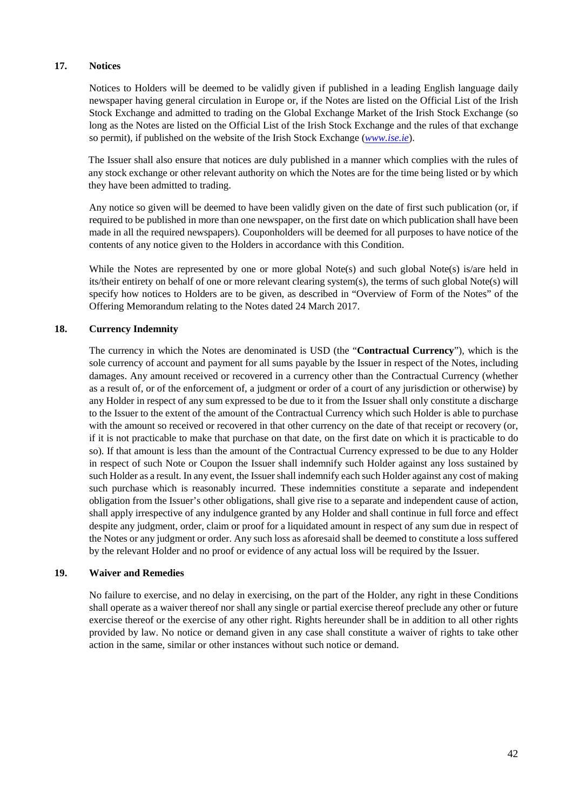### <span id="page-41-0"></span>**17. Notices**

Notices to Holders will be deemed to be validly given if published in a leading English language daily newspaper having general circulation in Europe or, if the Notes are listed on the Official List of the Irish Stock Exchange and admitted to trading on the Global Exchange Market of the Irish Stock Exchange (so long as the Notes are listed on the Official List of the Irish Stock Exchange and the rules of that exchange so permit), if published on the website of the Irish Stock Exchange (*[www.ise.ie](http://www.ise.ie/)*).

The Issuer shall also ensure that notices are duly published in a manner which complies with the rules of any stock exchange or other relevant authority on which the Notes are for the time being listed or by which they have been admitted to trading.

Any notice so given will be deemed to have been validly given on the date of first such publication (or, if required to be published in more than one newspaper, on the first date on which publication shall have been made in all the required newspapers). Couponholders will be deemed for all purposes to have notice of the contents of any notice given to the Holders in accordance with this Condition.

While the Notes are represented by one or more global Note(s) and such global Note(s) is/are held in its/their entirety on behalf of one or more relevant clearing system(s), the terms of such global Note(s) will specify how notices to Holders are to be given, as described in "Overview of Form of the Notes" of the Offering Memorandum relating to the Notes dated 24 March 2017.

### <span id="page-41-1"></span>**18. Currency Indemnity**

The currency in which the Notes are denominated is USD (the "**Contractual Currency**"), which is the sole currency of account and payment for all sums payable by the Issuer in respect of the Notes, including damages. Any amount received or recovered in a currency other than the Contractual Currency (whether as a result of, or of the enforcement of, a judgment or order of a court of any jurisdiction or otherwise) by any Holder in respect of any sum expressed to be due to it from the Issuer shall only constitute a discharge to the Issuer to the extent of the amount of the Contractual Currency which such Holder is able to purchase with the amount so received or recovered in that other currency on the date of that receipt or recovery (or, if it is not practicable to make that purchase on that date, on the first date on which it is practicable to do so). If that amount is less than the amount of the Contractual Currency expressed to be due to any Holder in respect of such Note or Coupon the Issuer shall indemnify such Holder against any loss sustained by such Holder as a result. In any event, the Issuer shall indemnify each such Holder against any cost of making such purchase which is reasonably incurred. These indemnities constitute a separate and independent obligation from the Issuer's other obligations, shall give rise to a separate and independent cause of action, shall apply irrespective of any indulgence granted by any Holder and shall continue in full force and effect despite any judgment, order, claim or proof for a liquidated amount in respect of any sum due in respect of the Notes or any judgment or order. Any such loss as aforesaid shall be deemed to constitute a loss suffered by the relevant Holder and no proof or evidence of any actual loss will be required by the Issuer.

### **19. Waiver and Remedies**

No failure to exercise, and no delay in exercising, on the part of the Holder, any right in these Conditions shall operate as a waiver thereof nor shall any single or partial exercise thereof preclude any other or future exercise thereof or the exercise of any other right. Rights hereunder shall be in addition to all other rights provided by law. No notice or demand given in any case shall constitute a waiver of rights to take other action in the same, similar or other instances without such notice or demand.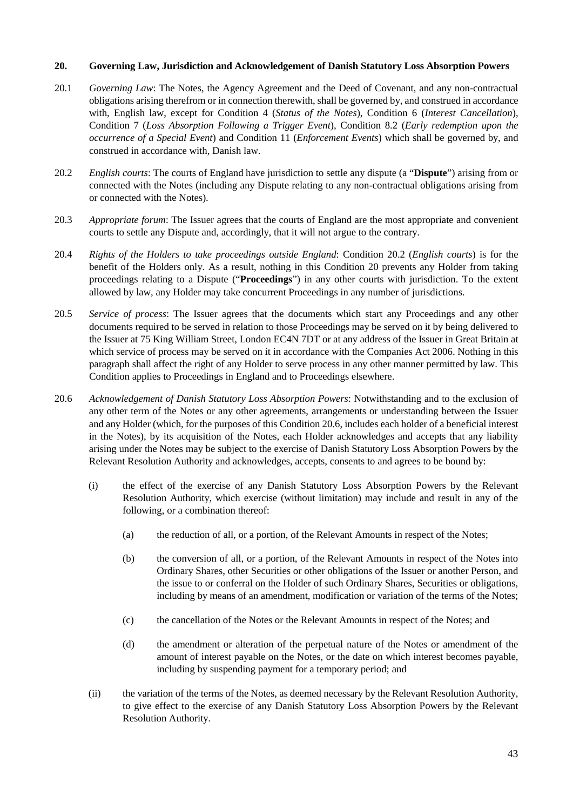#### <span id="page-42-1"></span>**20. Governing Law, Jurisdiction and Acknowledgement of Danish Statutory Loss Absorption Powers**

- 20.1 *Governing Law*: The Notes, the Agency Agreement and the Deed of Covenant, and any non-contractual obligations arising therefrom or in connection therewith, shall be governed by, and construed in accordance with, English law, except for Condition 4 (*Status of the Notes*), Condition 6 (*Interest Cancellation*), Condition 7 (*Loss Absorption Following a Trigger Event*), Condition 8.2 (*Early redemption upon the occurrence of a Special Event*) and Condition 11 (*Enforcement Events*) which shall be governed by, and construed in accordance with, Danish law.
- <span id="page-42-0"></span>20.2 *English courts*: The courts of England have jurisdiction to settle any dispute (a "**Dispute**") arising from or connected with the Notes (including any Dispute relating to any non-contractual obligations arising from or connected with the Notes).
- 20.3 *Appropriate forum*: The Issuer agrees that the courts of England are the most appropriate and convenient courts to settle any Dispute and, accordingly, that it will not argue to the contrary.
- 20.4 *Rights of the Holders to take proceedings outside England*: Condition [20.2](#page-42-0) (*English courts*) is for the benefit of the Holders only. As a result, nothing in this Condition [20](#page-42-1) prevents any Holder from taking proceedings relating to a Dispute ("**Proceedings**") in any other courts with jurisdiction. To the extent allowed by law, any Holder may take concurrent Proceedings in any number of jurisdictions.
- 20.5 *Service of process*: The Issuer agrees that the documents which start any Proceedings and any other documents required to be served in relation to those Proceedings may be served on it by being delivered to the Issuer at 75 King William Street, London EC4N 7DT or at any address of the Issuer in Great Britain at which service of process may be served on it in accordance with the Companies Act 2006. Nothing in this paragraph shall affect the right of any Holder to serve process in any other manner permitted by law. This Condition applies to Proceedings in England and to Proceedings elsewhere.
- 20.6 *Acknowledgement of Danish Statutory Loss Absorption Powers*: Notwithstanding and to the exclusion of any other term of the Notes or any other agreements, arrangements or understanding between the Issuer and any Holder (which, for the purposes of this Condition 20.6, includes each holder of a beneficial interest in the Notes), by its acquisition of the Notes, each Holder acknowledges and accepts that any liability arising under the Notes may be subject to the exercise of Danish Statutory Loss Absorption Powers by the Relevant Resolution Authority and acknowledges, accepts, consents to and agrees to be bound by:
	- (i) the effect of the exercise of any Danish Statutory Loss Absorption Powers by the Relevant Resolution Authority, which exercise (without limitation) may include and result in any of the following, or a combination thereof:
		- (a) the reduction of all, or a portion, of the Relevant Amounts in respect of the Notes;
		- (b) the conversion of all, or a portion, of the Relevant Amounts in respect of the Notes into Ordinary Shares, other Securities or other obligations of the Issuer or another Person, and the issue to or conferral on the Holder of such Ordinary Shares, Securities or obligations, including by means of an amendment, modification or variation of the terms of the Notes;
		- (c) the cancellation of the Notes or the Relevant Amounts in respect of the Notes; and
		- (d) the amendment or alteration of the perpetual nature of the Notes or amendment of the amount of interest payable on the Notes, or the date on which interest becomes payable, including by suspending payment for a temporary period; and
	- (ii) the variation of the terms of the Notes, as deemed necessary by the Relevant Resolution Authority, to give effect to the exercise of any Danish Statutory Loss Absorption Powers by the Relevant Resolution Authority.